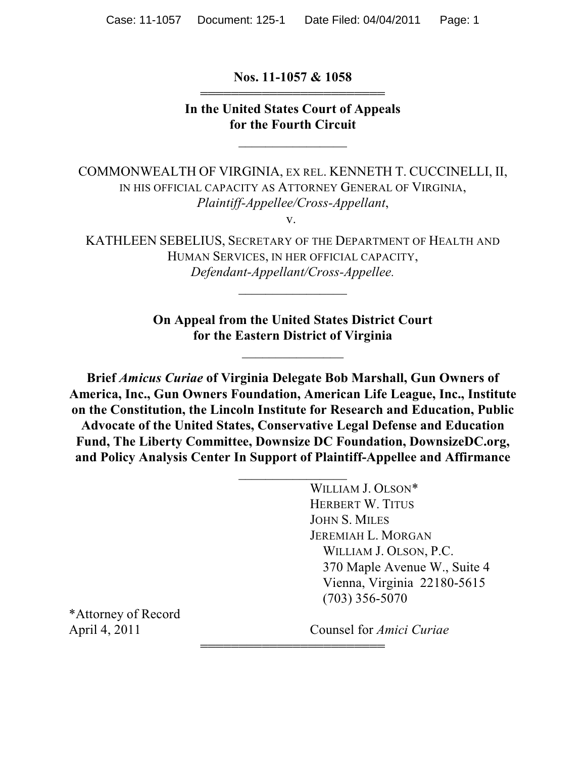**Nos. 11-1057 & 1058** 444444444444444444444444

**In the United States Court of Appeals for the Fourth Circuit**

 $\overline{\phantom{a}}$  , where  $\overline{\phantom{a}}$ 

COMMONWEALTH OF VIRGINIA, EX REL. KENNETH T. CUCCINELLI, II, IN HIS OFFICIAL CAPACITY AS ATTORNEY GENERAL OF VIRGINIA, *Plaintiff-Appellee/Cross-Appellant*, v.

KATHLEEN SEBELIUS, SECRETARY OF THE DEPARTMENT OF HEALTH AND HUMAN SERVICES, IN HER OFFICIAL CAPACITY, *Defendant-Appellant/Cross-Appellee.*

 $\frac{1}{2}$ 

**On Appeal from the United States District Court for the Eastern District of Virginia**

 $\overline{\phantom{a}}$  , where  $\overline{\phantom{a}}$ 

**Brief** *Amicus Curiae* **of Virginia Delegate Bob Marshall, Gun Owners of America, Inc., Gun Owners Foundation, American Life League, Inc., Institute on the Constitution, the Lincoln Institute for Research and Education, Public Advocate of the United States, Conservative Legal Defense and Education Fund, The Liberty Committee, Downsize DC Foundation, DownsizeDC.org, and Policy Analysis Center In Support of Plaintiff-Appellee and Affirmance**

 $\frac{1}{2}$ 

444444444444444444444444

WILLIAM J. OLSON\* HERBERT W. TITUS JOHN S. MILES JEREMIAH L. MORGAN WILLIAM J. OLSON, P.C. 370 Maple Avenue W., Suite 4 Vienna, Virginia 22180-5615 (703) 356-5070

\*Attorney of Record

April 4, 2011 Counsel for *Amici Curiae*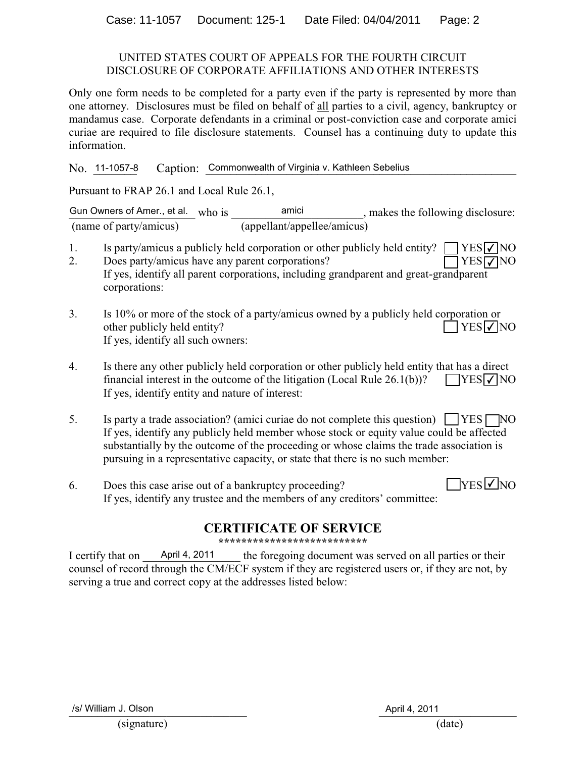#### UNITED STATES COURT OF APPEALS FOR THE FOURTH CIRCUIT DISCLOSURE OF CORPORATE AFFILIATIONS AND OTHER INTERESTS

Only one form needs to be completed for a party even if the party is represented by more than one attorney. Disclosures must be filed on behalf of all parties to a civil, agency, bankruptcy or mandamus case. Corporate defendants in a criminal or post-conviction case and corporate amici curiae are required to file disclosure statements. Counsel has a continuing duty to update this information.

No. <u>11-1057-8</u> Caption: <u>Commonwealth of Virginia v. Kathleen Sebelius</u> No. 11-1057-8

Pursuant to FRAP 26.1 and Local Rule 26.1,

Gun Owners of Amer., et al. who is  $\frac{\text{amici}}{\text{of } \text{unif } \text{unif } \text{unif } \text{unif } \text{unif } \text{unif } \text{unif } \text{unif } \text{unif } \text{unif } \text{unif } \text{unif } \text{unif } \text{unif } \text{unif } \text{unif } \text{unif } \text{unif } \text{unif } \text{unif } \text{unif } \text{unif } \text{unif } \text{unif } \text{unif } \text{unif } \text{unif } \text{unif } \text{un$ (name of party/amicus) (appellant/appellee/amicus)

- 1. Is party/amicus a publicly held corporation or other publicly held entity? **YES**⊽NO
- 2. Does party/amicus have any parent corporations? If yes, identify all parent corporations, including grandparent and great-grandparent corporations: **YES√**NO
- 3. Is 10% or more of the stock of a party/amicus owned by a publicly held corporation or other publicly held entity? If yes, identify all such owners:  $7FES$  NO
- 4. Is there any other publicly held corporation or other publicly held entity that has a direct financial interest in the outcome of the litigation (Local Rule  $26.1(b)$ )? If yes, identify entity and nature of interest:  $\Box$ YESI $\checkmark$ INO
- 5. Is party a trade association? (amici curiae do not complete this question)  $\Box$  YES  $\Box$  NO If yes, identify any publicly held member whose stock or equity value could be affected substantially by the outcome of the proceeding or whose claims the trade association is pursuing in a representative capacity, or state that there is no such member:
- 6. Does this case arise out of a bankruptcy proceeding? If yes, identify any trustee and the members of any creditors' committee:  $\exists$ YES $\nabla$ NO

# **CERTIFICATE OF SERVICE**

**\*\*\*\*\*\*\*\*\*\*\*\*\*\*\*\*\*\*\*\*\*\*\*\*\*\***

I certify that on April 4, 2011 the foregoing document was served on all parties or their counsel of record through the CM/ECF system if they are registered users or, if they are not, by serving a true and correct copy at the addresses listed below: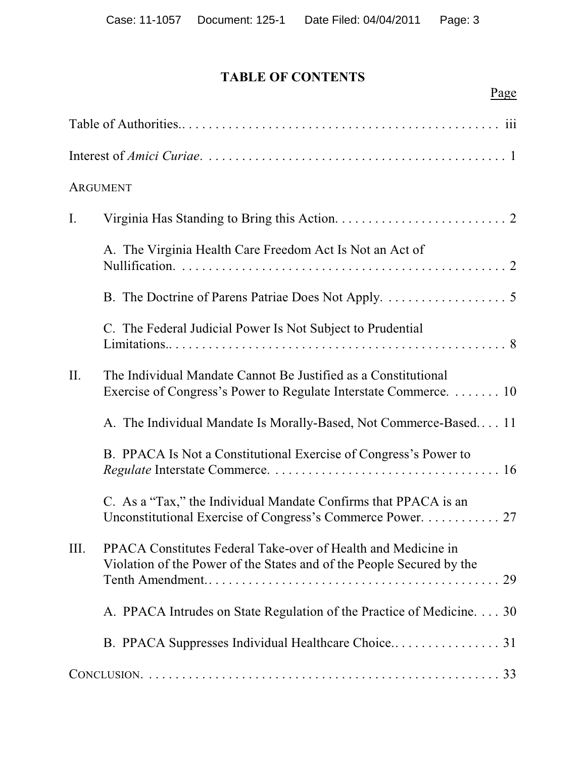# **TABLE OF CONTENTS**

|                | Page                                                                                                                                   |
|----------------|----------------------------------------------------------------------------------------------------------------------------------------|
|                |                                                                                                                                        |
|                |                                                                                                                                        |
|                | <b>ARGUMENT</b>                                                                                                                        |
| $\mathbf{I}$ . |                                                                                                                                        |
|                | A. The Virginia Health Care Freedom Act Is Not an Act of                                                                               |
|                |                                                                                                                                        |
|                | C. The Federal Judicial Power Is Not Subject to Prudential                                                                             |
| II.            | The Individual Mandate Cannot Be Justified as a Constitutional<br>Exercise of Congress's Power to Regulate Interstate Commerce.  10    |
|                | A. The Individual Mandate Is Morally-Based, Not Commerce-Based 11                                                                      |
|                | B. PPACA Is Not a Constitutional Exercise of Congress's Power to                                                                       |
|                | C. As a "Tax," the Individual Mandate Confirms that PPACA is an<br>Unconstitutional Exercise of Congress's Commerce Power. 27          |
| Ш.             | PPACA Constitutes Federal Take-over of Health and Medicine in<br>Violation of the Power of the States and of the People Secured by the |
|                | A. PPACA Intrudes on State Regulation of the Practice of Medicine. 30                                                                  |
|                |                                                                                                                                        |
|                |                                                                                                                                        |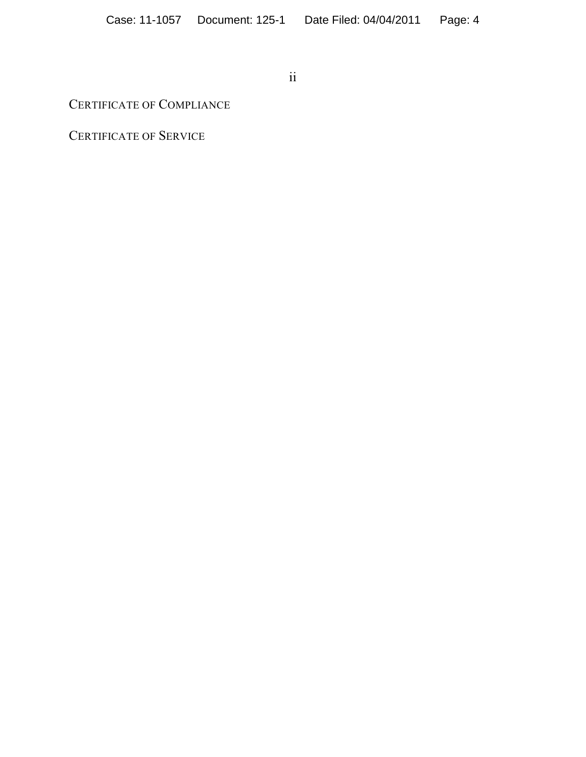ii

# CERTIFICATE OF COMPLIANCE

CERTIFICATE OF SERVICE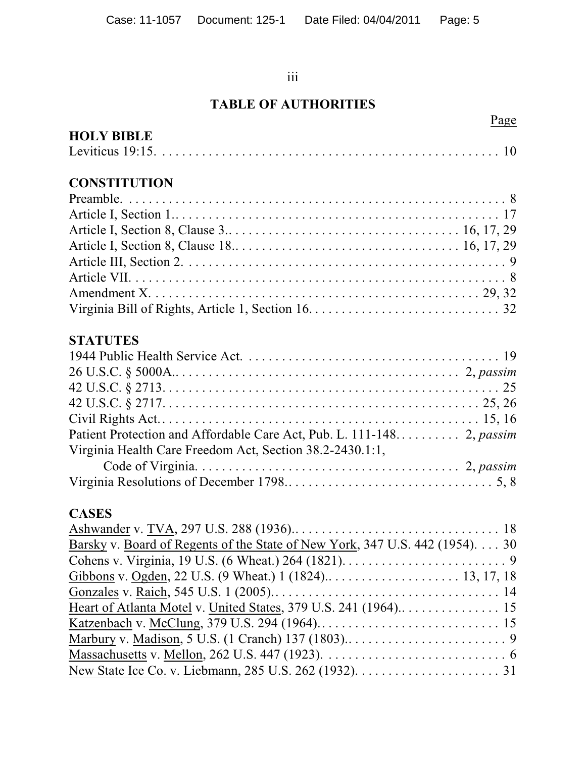#### iii

# **TABLE OF AUTHORITIES**

| Page                                                                                                 |
|------------------------------------------------------------------------------------------------------|
| <b>HOLY BIBLE</b>                                                                                    |
|                                                                                                      |
| <b>CONSTITUTION</b>                                                                                  |
|                                                                                                      |
|                                                                                                      |
|                                                                                                      |
|                                                                                                      |
|                                                                                                      |
|                                                                                                      |
|                                                                                                      |
|                                                                                                      |
| <b>STATUTES</b>                                                                                      |
|                                                                                                      |
|                                                                                                      |
|                                                                                                      |
|                                                                                                      |
|                                                                                                      |
|                                                                                                      |
| Virginia Health Care Freedom Act, Section 38.2-2430.1:1,                                             |
|                                                                                                      |
|                                                                                                      |
| <b>CASES</b>                                                                                         |
|                                                                                                      |
| Barsky v. Board of Regents of the State of New York, 347 U.S. 442 (1954). 30                         |
| Cohens v. Virginia, 19 U.S. (6 Wheat.) 264 (1821). $\dots \dots \dots \dots \dots \dots \dots \dots$ |
|                                                                                                      |

Gonzales v. Raich, 545 U.S. 1 (2005)........ ....... ....... ....... ...... 14 Heart of Atlanta Motel v. United States, 379 U.S. 241 (1964).. . . . . . . . . . . . . . . 15 Katzenbach v. McClung, 379 U.S. 294 (1964).. . . . . . . . . . . . . . . . . . . . . . . . . . . 15 Marbury v. Madison, 5 U.S. (1 Cranch) 137 (1803).. . . . . . . . . . . . . . . . . . . . . . . . 9 Massachusetts v. Mellon, 262 U.S. 447 (1923). . . . . . . . . . . . . . . . . . . . . . . . . . . . 6 New State Ice Co. v. Liebmann, 285 U.S. 262 (1932). . . . . . . . . . . . . . . . . . . . . . 31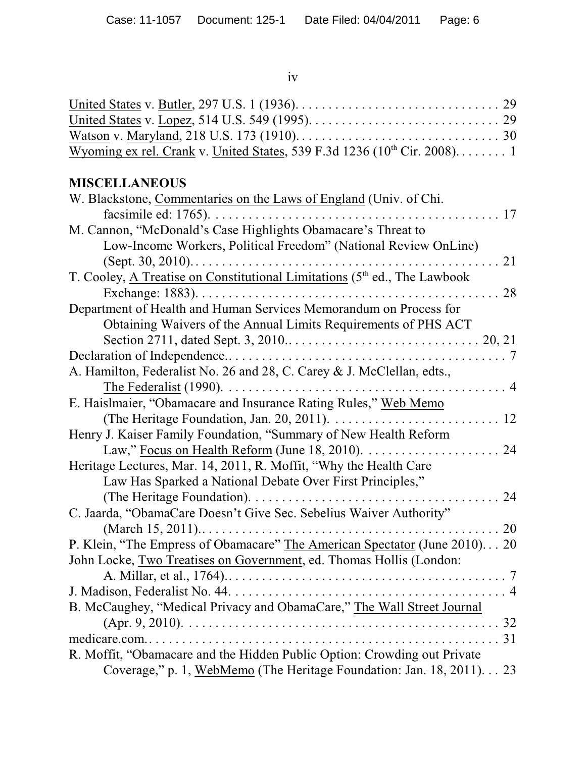iv

| Wyoming ex rel. Crank v. United States, 539 F.3d 1236 (10 <sup>th</sup> Cir. 2008) 1 |  |
|--------------------------------------------------------------------------------------|--|

# **MISCELLANEOUS**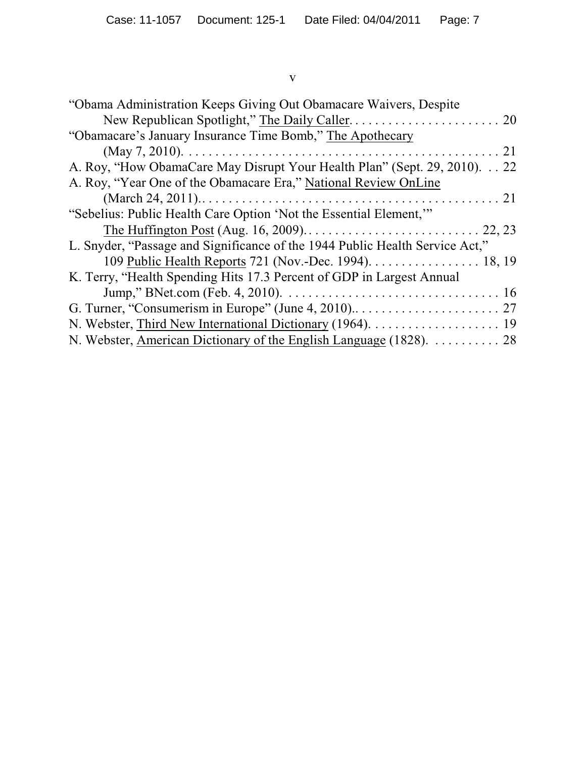#### v

| "Obama Administration Keeps Giving Out Obamacare Waivers, Despite            |  |  |
|------------------------------------------------------------------------------|--|--|
|                                                                              |  |  |
| "Obamacare's January Insurance Time Bomb," The Apothecary                    |  |  |
|                                                                              |  |  |
| A. Roy, "How ObamaCare May Disrupt Your Health Plan" (Sept. 29, 2010). 22    |  |  |
| A. Roy, "Year One of the Obamacare Era," National Review OnLine              |  |  |
|                                                                              |  |  |
| "Sebelius: Public Health Care Option 'Not the Essential Element,"            |  |  |
|                                                                              |  |  |
| L. Snyder, "Passage and Significance of the 1944 Public Health Service Act," |  |  |
| 109 Public Health Reports 721 (Nov.-Dec. 1994). 18, 19                       |  |  |
| K. Terry, "Health Spending Hits 17.3 Percent of GDP in Largest Annual        |  |  |
|                                                                              |  |  |
|                                                                              |  |  |
|                                                                              |  |  |
|                                                                              |  |  |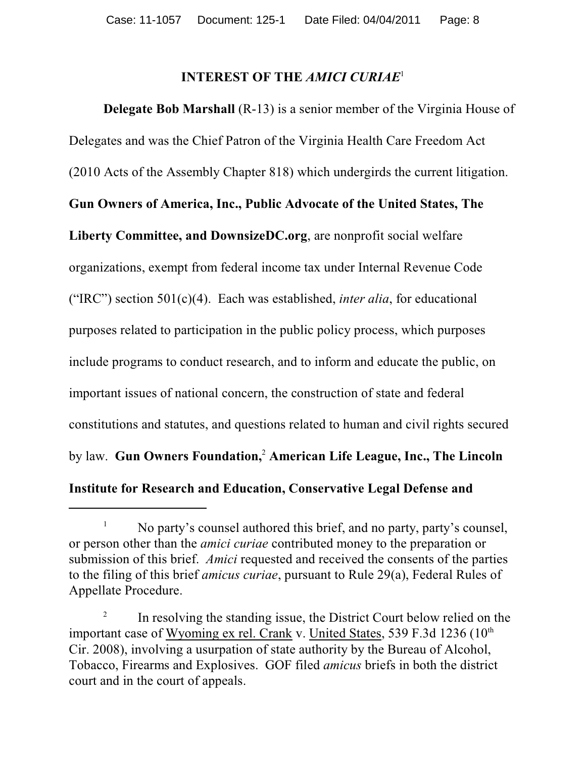# **INTEREST OF THE** *AMICI CURIAE*<sup>1</sup>

**Delegate Bob Marshall** (R-13) is a senior member of the Virginia House of Delegates and was the Chief Patron of the Virginia Health Care Freedom Act (2010 Acts of the Assembly Chapter 818) which undergirds the current litigation. **Gun Owners of America, Inc., Public Advocate of the United States, The Liberty Committee, and DownsizeDC.org**, are nonprofit social welfare organizations, exempt from federal income tax under Internal Revenue Code ("IRC") section 501(c)(4). Each was established, *inter alia*, for educational purposes related to participation in the public policy process, which purposes include programs to conduct research, and to inform and educate the public, on important issues of national concern, the construction of state and federal constitutions and statutes, and questions related to human and civil rights secured by law. **Gun Owners Foundation,<sup>2</sup> American Life League, Inc., The Lincoln Institute for Research and Education, Conservative Legal Defense and**

No party's counsel authored this brief, and no party, party's counsel, 1 or person other than the *amici curiae* contributed money to the preparation or submission of this brief. *Amici* requested and received the consents of the parties to the filing of this brief *amicus curiae*, pursuant to Rule 29(a), Federal Rules of Appellate Procedure.

<sup>&</sup>lt;sup>2</sup> In resolving the standing issue, the District Court below relied on the important case of Wyoming ex rel. Crank v. United States, 539 F.3d 1236 (10<sup>th</sup> Cir. 2008), involving a usurpation of state authority by the Bureau of Alcohol, Tobacco, Firearms and Explosives. GOF filed *amicus* briefs in both the district court and in the court of appeals.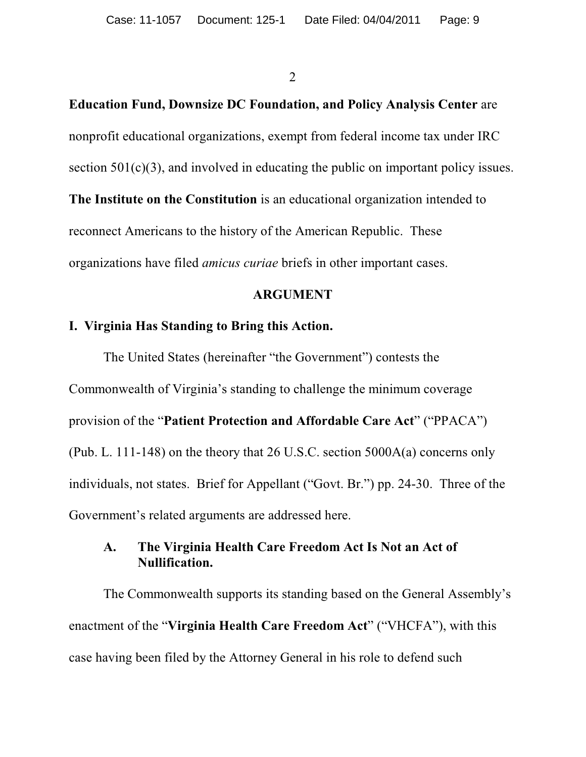**Education Fund, Downsize DC Foundation, and Policy Analysis Center** are nonprofit educational organizations, exempt from federal income tax under IRC section  $501(c)(3)$ , and involved in educating the public on important policy issues. **The Institute on the Constitution** is an educational organization intended to reconnect Americans to the history of the American Republic. These organizations have filed *amicus curiae* briefs in other important cases.

#### **ARGUMENT**

#### **I. Virginia Has Standing to Bring this Action.**

The United States (hereinafter "the Government") contests the Commonwealth of Virginia's standing to challenge the minimum coverage provision of the "**Patient Protection and Affordable Care Act**" ("PPACA") (Pub. L. 111-148) on the theory that 26 U.S.C. section 5000A(a) concerns only individuals, not states. Brief for Appellant ("Govt. Br.") pp. 24-30. Three of the Government's related arguments are addressed here.

#### **A. The Virginia Health Care Freedom Act Is Not an Act of Nullification.**

The Commonwealth supports its standing based on the General Assembly's enactment of the "**Virginia Health Care Freedom Act**" ("VHCFA"), with this case having been filed by the Attorney General in his role to defend such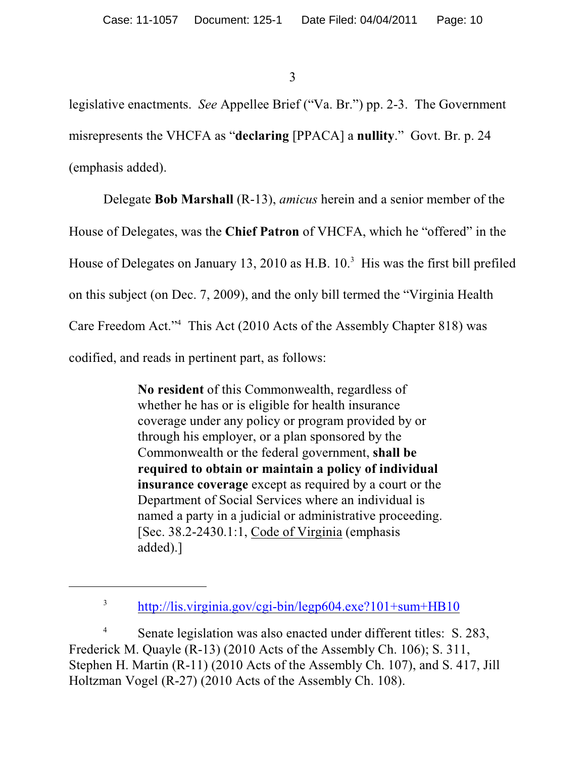legislative enactments. *See* Appellee Brief ("Va. Br.") pp. 2-3. The Government misrepresents the VHCFA as "**declaring** [PPACA] a **nullity**." Govt. Br. p. 24 (emphasis added).

Delegate **Bob Marshall** (R-13), *amicus* herein and a senior member of the House of Delegates, was the **Chief Patron** of VHCFA, which he "offered" in the House of Delegates on January 13, 2010 as H.B.  $10<sup>3</sup>$  His was the first bill prefiled on this subject (on Dec. 7, 2009), and the only bill termed the "Virginia Health Care Freedom Act."<sup>4</sup> This Act (2010 Acts of the Assembly Chapter 818) was codified, and reads in pertinent part, as follows:

> **No resident** of this Commonwealth, regardless of whether he has or is eligible for health insurance coverage under any policy or program provided by or through his employer, or a plan sponsored by the Commonwealth or the federal government, **shall be required to obtain or maintain a policy of individual insurance coverage** except as required by a court or the Department of Social Services where an individual is named a party in a judicial or administrative proceeding. [Sec. 38.2-2430.1:1, Code of Virginia (emphasis added).]

Senate legislation was also enacted under different titles: S. 283, 4 Frederick M. Quayle (R-13) (2010 Acts of the Assembly Ch. 106); S. 311, Stephen H. Martin (R-11) (2010 Acts of the Assembly Ch. 107), and S. 417, Jill Holtzman Vogel (R-27) (2010 Acts of the Assembly Ch. 108).

<sup>3</sup> <http://lis.virginia.gov/cgi-bin/legp604.exe?101+sum+HB10>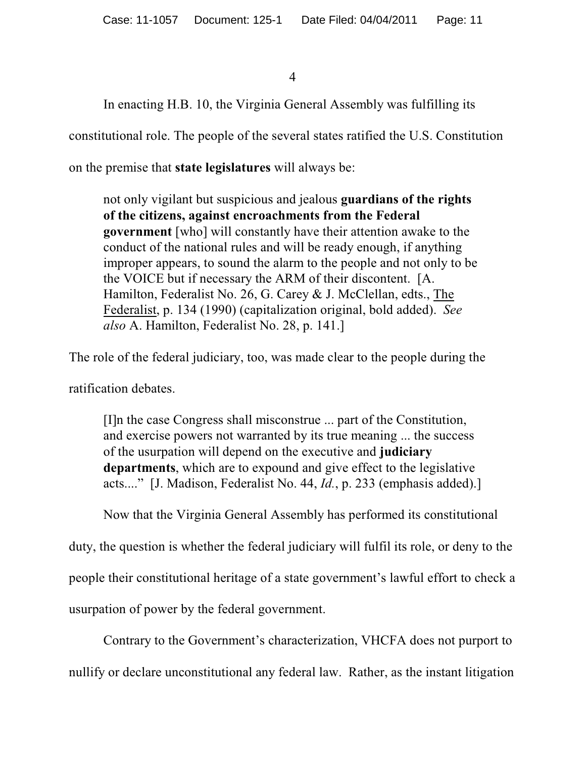In enacting H.B. 10, the Virginia General Assembly was fulfilling its

constitutional role. The people of the several states ratified the U.S. Constitution

on the premise that **state legislatures** will always be:

not only vigilant but suspicious and jealous **guardians of the rights of the citizens, against encroachments from the Federal government** [who] will constantly have their attention awake to the conduct of the national rules and will be ready enough, if anything improper appears, to sound the alarm to the people and not only to be the VOICE but if necessary the ARM of their discontent. [A. Hamilton, Federalist No. 26, G. Carey & J. McClellan, edts., The Federalist, p. 134 (1990) (capitalization original, bold added). *See also* A. Hamilton, Federalist No. 28, p. 141.]

The role of the federal judiciary, too, was made clear to the people during the

ratification debates.

[I]n the case Congress shall misconstrue ... part of the Constitution, and exercise powers not warranted by its true meaning ... the success of the usurpation will depend on the executive and **judiciary departments**, which are to expound and give effect to the legislative acts...." [J. Madison, Federalist No. 44, *Id.*, p. 233 (emphasis added).]

Now that the Virginia General Assembly has performed its constitutional

duty, the question is whether the federal judiciary will fulfil its role, or deny to the people their constitutional heritage of a state government's lawful effort to check a usurpation of power by the federal government.

Contrary to the Government's characterization, VHCFA does not purport to nullify or declare unconstitutional any federal law. Rather, as the instant litigation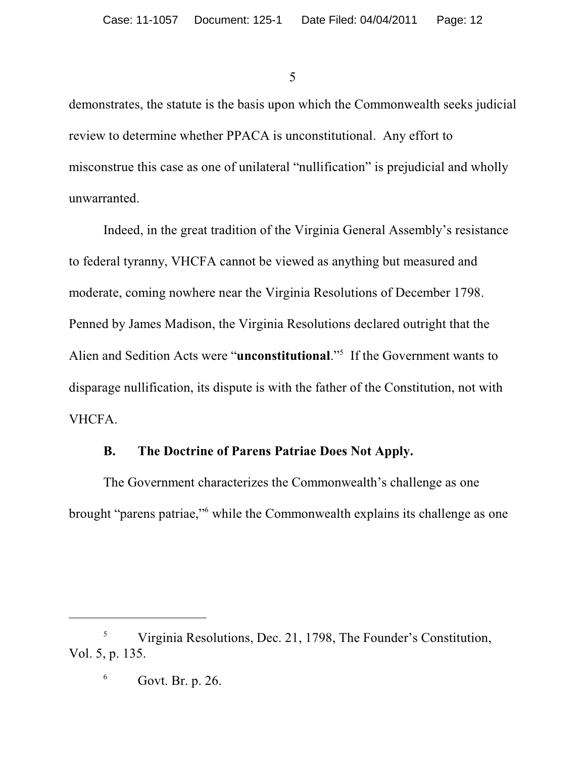demonstrates, the statute is the basis upon which the Commonwealth seeks judicial review to determine whether PPACA is unconstitutional. Any effort to misconstrue this case as one of unilateral "nullification" is prejudicial and wholly unwarranted.

Indeed, in the great tradition of the Virginia General Assembly's resistance to federal tyranny, VHCFA cannot be viewed as anything but measured and moderate, coming nowhere near the Virginia Resolutions of December 1798. Penned by James Madison, the Virginia Resolutions declared outright that the Alien and Sedition Acts were "**unconstitutional**."<sup>5</sup> If the Government wants to disparage nullification, its dispute is with the father of the Constitution, not with VHCFA.

#### **B. The Doctrine of Parens Patriae Does Not Apply.**

The Government characterizes the Commonwealth's challenge as one brought "parens patriae," while the Commonwealth explains its challenge as one

<sup>&</sup>lt;sup>5</sup> Virginia Resolutions, Dec. 21, 1798, The Founder's Constitution, Vol. 5, p. 135.

 $6$  Govt. Br. p. 26.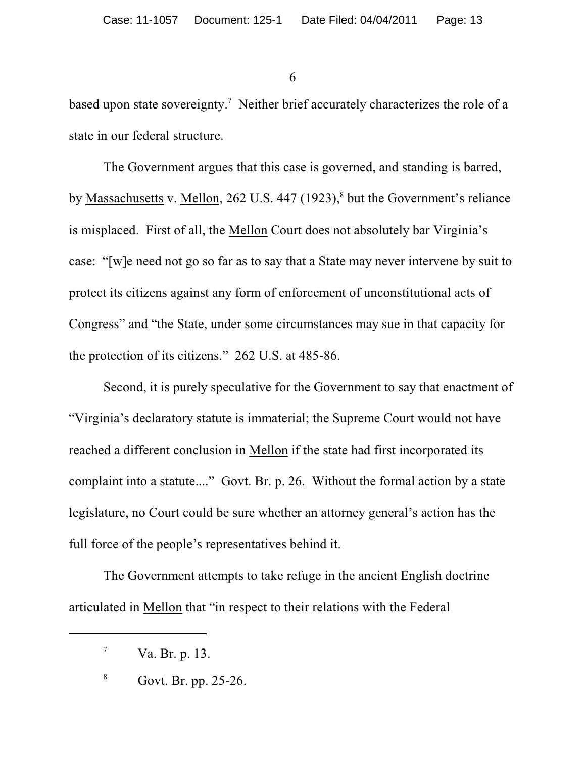based upon state sovereignty.<sup>7</sup> Neither brief accurately characterizes the role of a state in our federal structure.

The Government argues that this case is governed, and standing is barred, by Massachusetts v. Mellon, 262 U.S. 447 (1923),<sup>8</sup> but the Government's reliance is misplaced. First of all, the Mellon Court does not absolutely bar Virginia's case: "[w]e need not go so far as to say that a State may never intervene by suit to protect its citizens against any form of enforcement of unconstitutional acts of Congress" and "the State, under some circumstances may sue in that capacity for the protection of its citizens." 262 U.S. at 485-86.

Second, it is purely speculative for the Government to say that enactment of "Virginia's declaratory statute is immaterial; the Supreme Court would not have reached a different conclusion in Mellon if the state had first incorporated its complaint into a statute...." Govt. Br. p. 26. Without the formal action by a state legislature, no Court could be sure whether an attorney general's action has the full force of the people's representatives behind it.

The Government attempts to take refuge in the ancient English doctrine articulated in Mellon that "in respect to their relations with the Federal

 $^7$  Va. Br. p. 13.

 $8^8$  Govt. Br. pp. 25-26.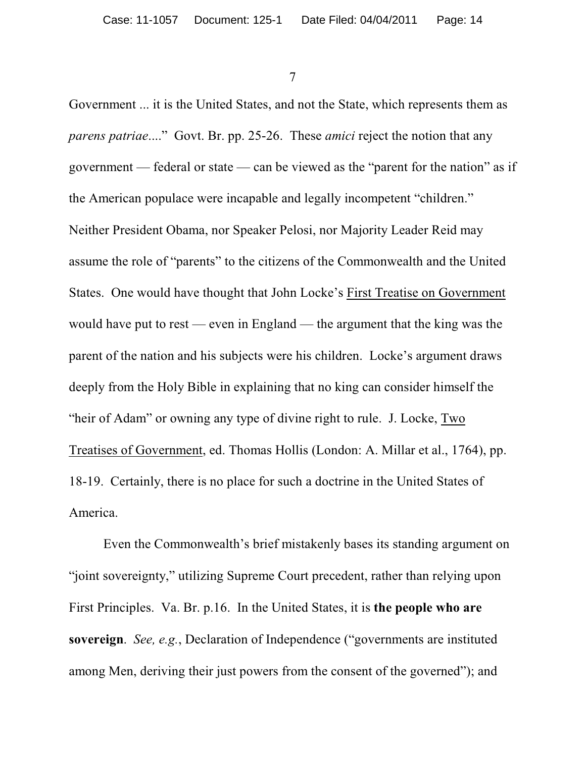Government ... it is the United States, and not the State, which represents them as *parens patriae*...." Govt. Br. pp. 25-26. These *amici* reject the notion that any government — federal or state — can be viewed as the "parent for the nation" as if the American populace were incapable and legally incompetent "children." Neither President Obama, nor Speaker Pelosi, nor Majority Leader Reid may assume the role of "parents" to the citizens of the Commonwealth and the United States. One would have thought that John Locke's First Treatise on Government would have put to rest — even in England — the argument that the king was the parent of the nation and his subjects were his children. Locke's argument draws deeply from the Holy Bible in explaining that no king can consider himself the "heir of Adam" or owning any type of divine right to rule. J. Locke, Two Treatises of Government, ed. Thomas Hollis (London: A. Millar et al., 1764), pp. 18-19. Certainly, there is no place for such a doctrine in the United States of America.

Even the Commonwealth's brief mistakenly bases its standing argument on "joint sovereignty," utilizing Supreme Court precedent, rather than relying upon First Principles. Va. Br. p.16. In the United States, it is **the people who are sovereign**. *See, e.g.*, Declaration of Independence ("governments are instituted among Men, deriving their just powers from the consent of the governed"); and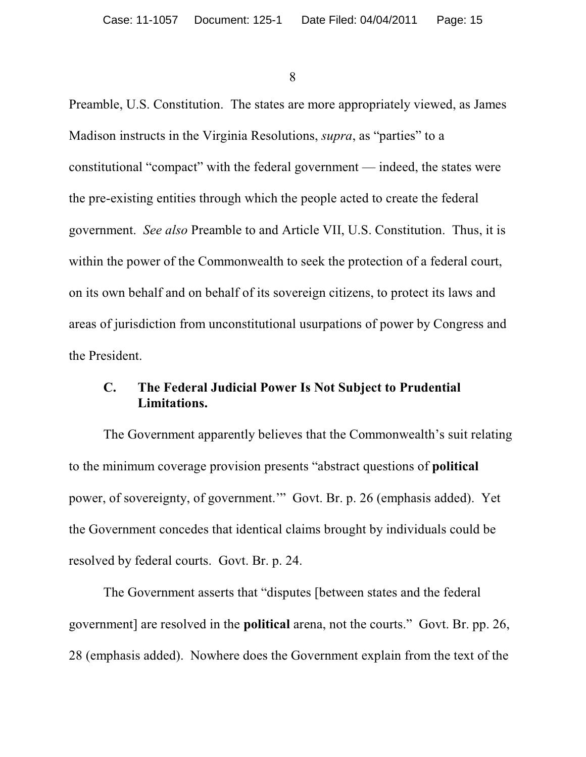Preamble, U.S. Constitution. The states are more appropriately viewed, as James Madison instructs in the Virginia Resolutions, *supra*, as "parties" to a constitutional "compact" with the federal government — indeed, the states were the pre-existing entities through which the people acted to create the federal government. *See also* Preamble to and Article VII, U.S. Constitution. Thus, it is within the power of the Commonwealth to seek the protection of a federal court, on its own behalf and on behalf of its sovereign citizens, to protect its laws and areas of jurisdiction from unconstitutional usurpations of power by Congress and the President.

## **C. The Federal Judicial Power Is Not Subject to Prudential Limitations.**

The Government apparently believes that the Commonwealth's suit relating to the minimum coverage provision presents "abstract questions of **political** power, of sovereignty, of government.'" Govt. Br. p. 26 (emphasis added). Yet the Government concedes that identical claims brought by individuals could be resolved by federal courts. Govt. Br. p. 24.

The Government asserts that "disputes [between states and the federal government] are resolved in the **political** arena, not the courts." Govt. Br. pp. 26, 28 (emphasis added). Nowhere does the Government explain from the text of the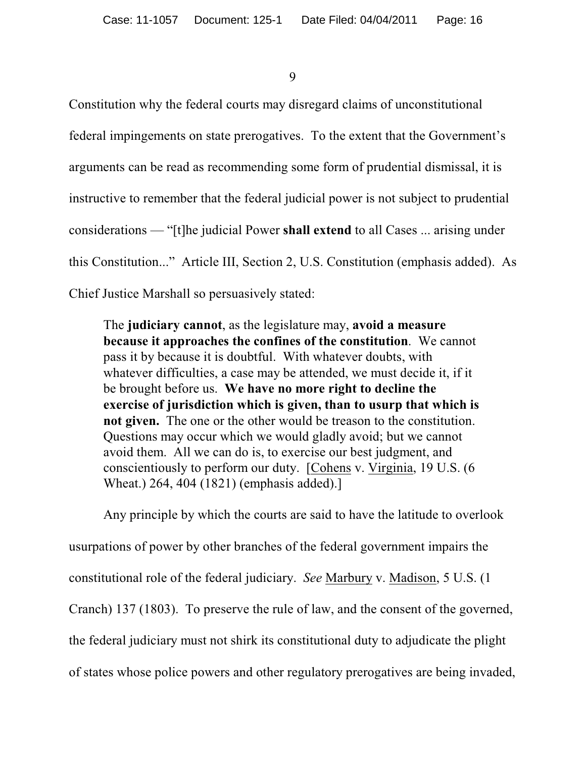Constitution why the federal courts may disregard claims of unconstitutional federal impingements on state prerogatives. To the extent that the Government's arguments can be read as recommending some form of prudential dismissal, it is instructive to remember that the federal judicial power is not subject to prudential considerations — "[t]he judicial Power **shall extend** to all Cases ... arising under this Constitution..." Article III, Section 2, U.S. Constitution (emphasis added). As Chief Justice Marshall so persuasively stated:

The **judiciary cannot**, as the legislature may, **avoid a measure because it approaches the confines of the constitution**. We cannot pass it by because it is doubtful. With whatever doubts, with whatever difficulties, a case may be attended, we must decide it, if it be brought before us. **We have no more right to decline the exercise of jurisdiction which is given, than to usurp that which is not given.** The one or the other would be treason to the constitution. Questions may occur which we would gladly avoid; but we cannot avoid them. All we can do is, to exercise our best judgment, and conscientiously to perform our duty. [Cohens v. Virginia, 19 U.S. (6 Wheat.) 264, 404 (1821) (emphasis added).]

Any principle by which the courts are said to have the latitude to overlook usurpations of power by other branches of the federal government impairs the constitutional role of the federal judiciary. *See* Marbury v. Madison, 5 U.S. (1 Cranch) 137 (1803). To preserve the rule of law, and the consent of the governed, the federal judiciary must not shirk its constitutional duty to adjudicate the plight of states whose police powers and other regulatory prerogatives are being invaded,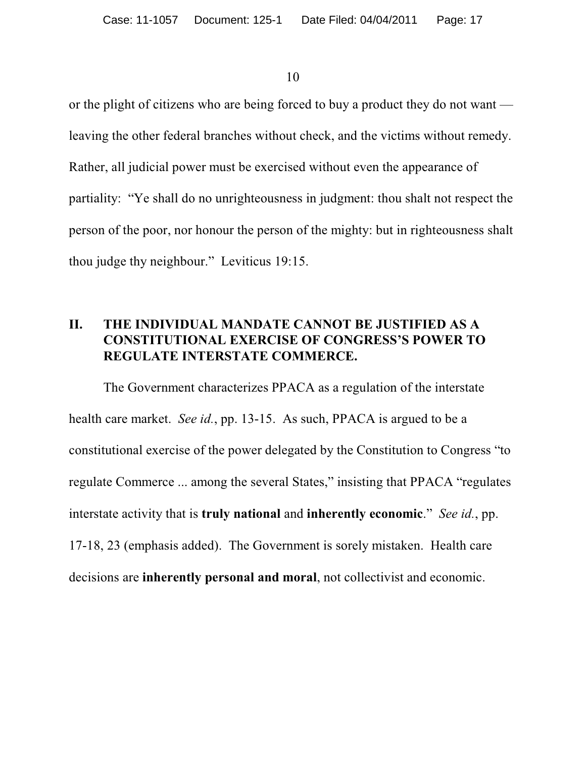or the plight of citizens who are being forced to buy a product they do not want leaving the other federal branches without check, and the victims without remedy. Rather, all judicial power must be exercised without even the appearance of partiality: "Ye shall do no unrighteousness in judgment: thou shalt not respect the person of the poor, nor honour the person of the mighty: but in righteousness shalt thou judge thy neighbour." Leviticus 19:15.

## **II. THE INDIVIDUAL MANDATE CANNOT BE JUSTIFIED AS A CONSTITUTIONAL EXERCISE OF CONGRESS'S POWER TO REGULATE INTERSTATE COMMERCE.**

The Government characterizes PPACA as a regulation of the interstate health care market. *See id.*, pp. 13-15. As such, PPACA is argued to be a constitutional exercise of the power delegated by the Constitution to Congress "to regulate Commerce ... among the several States," insisting that PPACA "regulates interstate activity that is **truly national** and **inherently economic**." *See id.*, pp. 17-18, 23 (emphasis added). The Government is sorely mistaken. Health care decisions are **inherently personal and moral**, not collectivist and economic.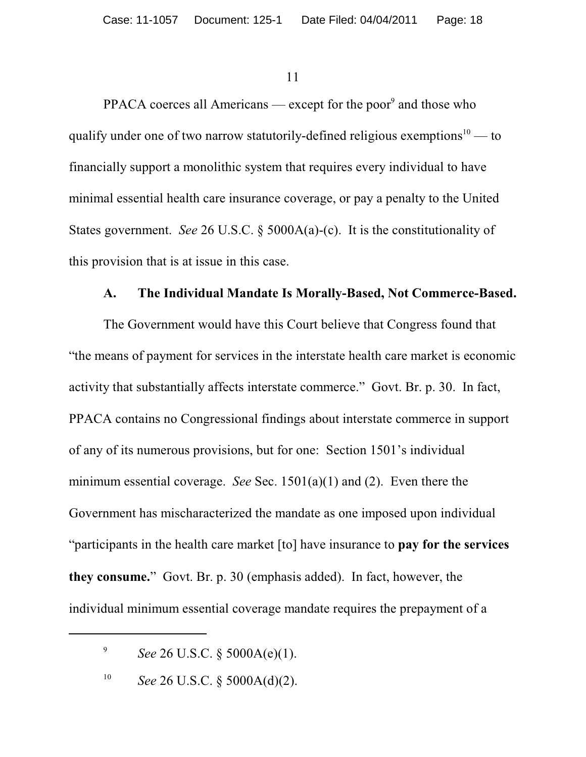PPACA coerces all Americans — except for the poor<sup>9</sup> and those who qualify under one of two narrow statutorily-defined religious exemptions $10$  — to financially support a monolithic system that requires every individual to have minimal essential health care insurance coverage, or pay a penalty to the United States government. *See* 26 U.S.C. § 5000A(a)-(c). It is the constitutionality of this provision that is at issue in this case.

#### **A. The Individual Mandate Is Morally-Based, Not Commerce-Based.**

The Government would have this Court believe that Congress found that "the means of payment for services in the interstate health care market is economic activity that substantially affects interstate commerce." Govt. Br. p. 30. In fact, PPACA contains no Congressional findings about interstate commerce in support of any of its numerous provisions, but for one: Section 1501's individual minimum essential coverage. *See* Sec. 1501(a)(1) and (2). Even there the Government has mischaracterized the mandate as one imposed upon individual "participants in the health care market [to] have insurance to **pay for the services they consume.**" Govt. Br. p. 30 (emphasis added). In fact, however, the individual minimum essential coverage mandate requires the prepayment of a

<sup>&</sup>lt;sup>9</sup> *See* 26 U.S.C. § 5000A(e)(1).

<sup>&</sup>lt;sup>10</sup> *See* 26 U.S.C. § 5000A(d)(2).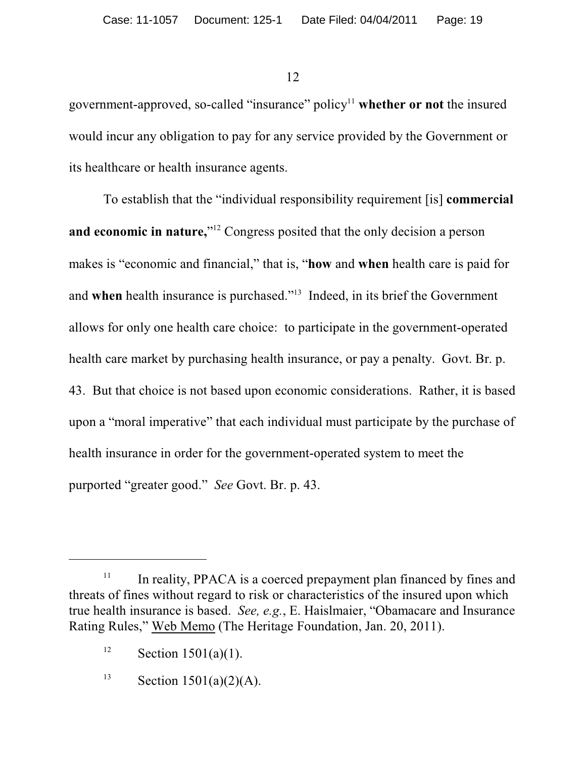government-approved, so-called "insurance" policy<sup>11</sup> whether or not the insured would incur any obligation to pay for any service provided by the Government or its healthcare or health insurance agents.

To establish that the "individual responsibility requirement [is] **commercial and economic in nature,**"<sup>12</sup> Congress posited that the only decision a person makes is "economic and financial," that is, "**how** and **when** health care is paid for and when health insurance is purchased."<sup>13</sup> Indeed, in its brief the Government allows for only one health care choice: to participate in the government-operated health care market by purchasing health insurance, or pay a penalty. Govt. Br. p. 43. But that choice is not based upon economic considerations. Rather, it is based upon a "moral imperative" that each individual must participate by the purchase of health insurance in order for the government-operated system to meet the purported "greater good." *See* Govt. Br. p. 43.

 $\mu$ <sup>11</sup> In reality, PPACA is a coerced prepayment plan financed by fines and threats of fines without regard to risk or characteristics of the insured upon which true health insurance is based. *See, e.g.*, E. Haislmaier, "Obamacare and Insurance Rating Rules," Web Memo (The Heritage Foundation, Jan. 20, 2011).

<sup>&</sup>lt;sup>12</sup> Section 1501(a)(1).

<sup>&</sup>lt;sup>13</sup> Section 1501(a)(2)(A).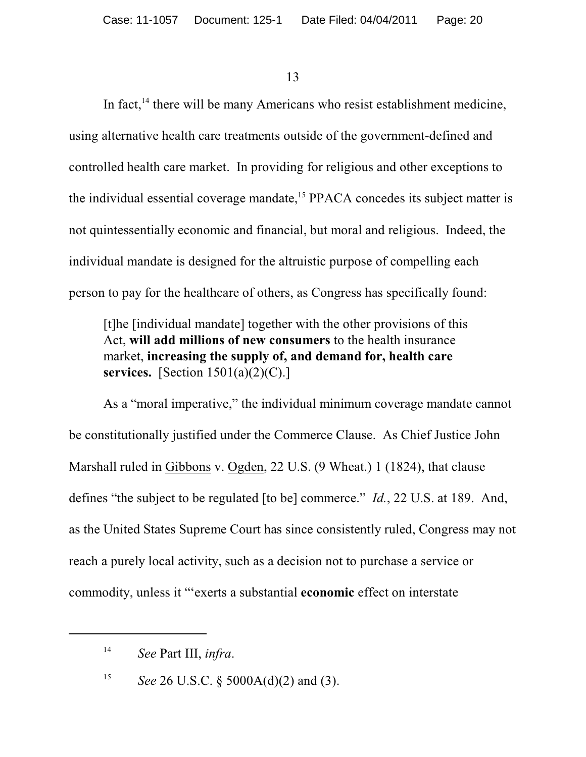In fact,  $14$  there will be many Americans who resist establishment medicine, using alternative health care treatments outside of the government-defined and controlled health care market. In providing for religious and other exceptions to the individual essential coverage mandate, $15$  PPACA concedes its subject matter is not quintessentially economic and financial, but moral and religious. Indeed, the individual mandate is designed for the altruistic purpose of compelling each person to pay for the healthcare of others, as Congress has specifically found:

[t]he [individual mandate] together with the other provisions of this Act, **will add millions of new consumers** to the health insurance market, **increasing the supply of, and demand for, health care services.** [Section 1501(a)(2)(C).]

As a "moral imperative," the individual minimum coverage mandate cannot be constitutionally justified under the Commerce Clause. As Chief Justice John Marshall ruled in Gibbons v. Ogden, 22 U.S. (9 Wheat.) 1 (1824), that clause defines "the subject to be regulated [to be] commerce." *Id.*, 22 U.S. at 189. And, as the United States Supreme Court has since consistently ruled, Congress may not reach a purely local activity, such as a decision not to purchase a service or commodity, unless it "'exerts a substantial **economic** effect on interstate

<sup>15</sup> See 26 U.S.C. § 5000A(d)(2) and (3).

*See* Part III, *infra*. 14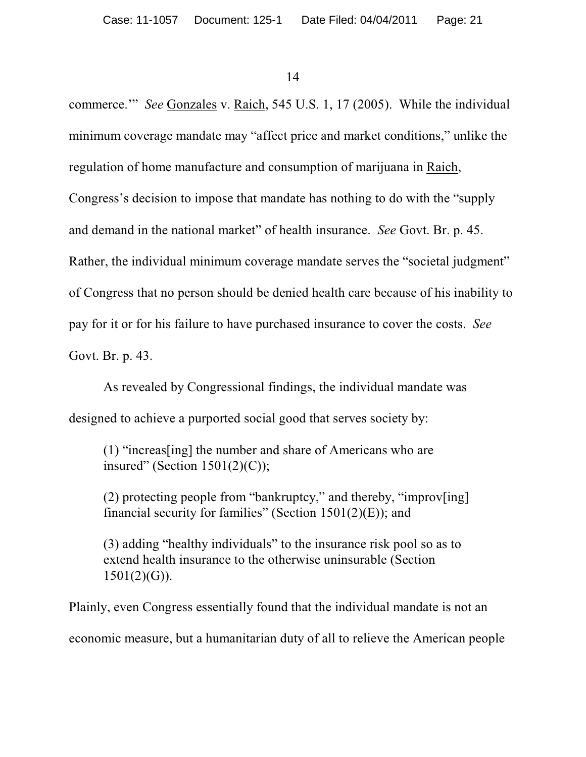commerce.'" *See* Gonzales v. Raich, 545 U.S. 1, 17 (2005). While the individual minimum coverage mandate may "affect price and market conditions," unlike the regulation of home manufacture and consumption of marijuana in Raich, Congress's decision to impose that mandate has nothing to do with the "supply and demand in the national market" of health insurance. *See* Govt. Br. p. 45. Rather, the individual minimum coverage mandate serves the "societal judgment" of Congress that no person should be denied health care because of his inability to pay for it or for his failure to have purchased insurance to cover the costs. *See* Govt. Br. p. 43.

As revealed by Congressional findings, the individual mandate was designed to achieve a purported social good that serves society by:

(1) "increas[ing] the number and share of Americans who are insured" (Section  $1501(2)(C)$ );

(2) protecting people from "bankruptcy," and thereby, "improv[ing] financial security for families" (Section  $1501(2)$ (E)); and

(3) adding "healthy individuals" to the insurance risk pool so as to extend health insurance to the otherwise uninsurable (Section  $1501(2)(G)$ ).

Plainly, even Congress essentially found that the individual mandate is not an economic measure, but a humanitarian duty of all to relieve the American people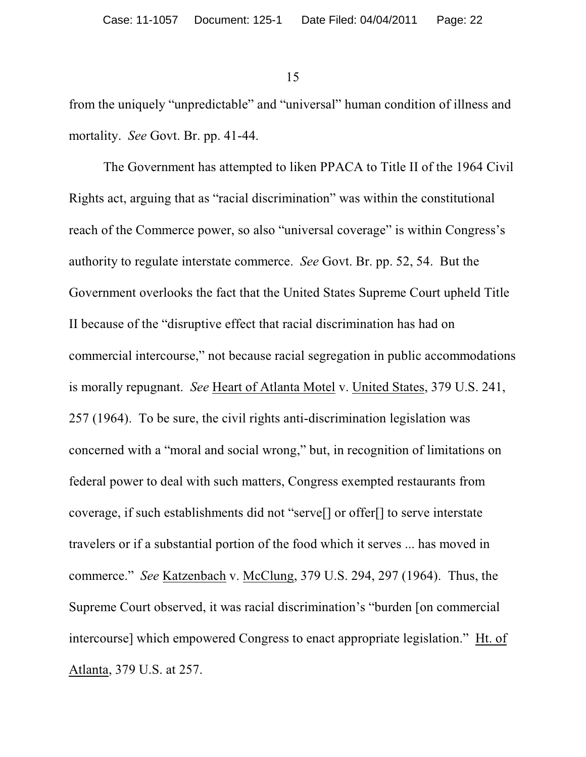from the uniquely "unpredictable" and "universal" human condition of illness and mortality. *See* Govt. Br. pp. 41-44.

The Government has attempted to liken PPACA to Title II of the 1964 Civil Rights act, arguing that as "racial discrimination" was within the constitutional reach of the Commerce power, so also "universal coverage" is within Congress's authority to regulate interstate commerce. *See* Govt. Br. pp. 52, 54. But the Government overlooks the fact that the United States Supreme Court upheld Title II because of the "disruptive effect that racial discrimination has had on commercial intercourse," not because racial segregation in public accommodations is morally repugnant. *See* Heart of Atlanta Motel v. United States, 379 U.S. 241, 257 (1964). To be sure, the civil rights anti-discrimination legislation was concerned with a "moral and social wrong," but, in recognition of limitations on federal power to deal with such matters, Congress exempted restaurants from coverage, if such establishments did not "serve[] or offer[] to serve interstate travelers or if a substantial portion of the food which it serves ... has moved in commerce." *See* Katzenbach v. McClung, 379 U.S. 294, 297 (1964). Thus, the Supreme Court observed, it was racial discrimination's "burden [on commercial intercourse] which empowered Congress to enact appropriate legislation." Ht. of Atlanta, 379 U.S. at 257.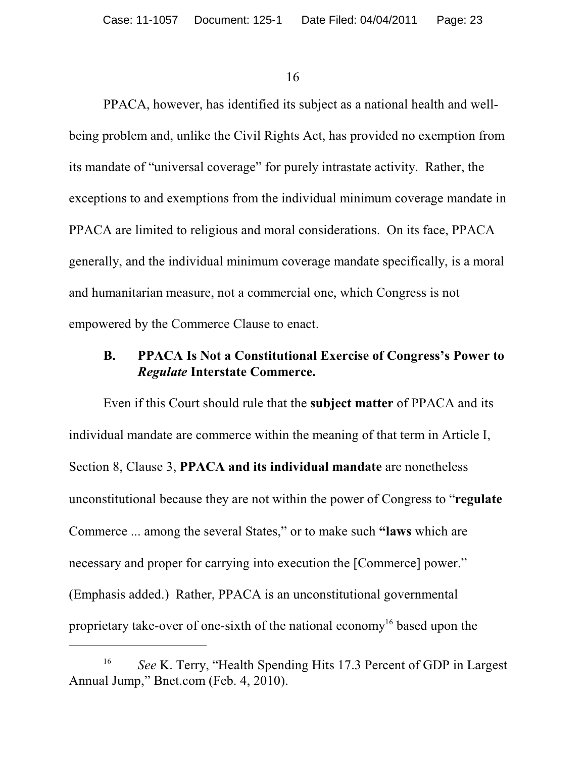PPACA, however, has identified its subject as a national health and wellbeing problem and, unlike the Civil Rights Act, has provided no exemption from its mandate of "universal coverage" for purely intrastate activity. Rather, the exceptions to and exemptions from the individual minimum coverage mandate in PPACA are limited to religious and moral considerations. On its face, PPACA generally, and the individual minimum coverage mandate specifically, is a moral and humanitarian measure, not a commercial one, which Congress is not empowered by the Commerce Clause to enact.

#### **B. PPACA Is Not a Constitutional Exercise of Congress's Power to** *Regulate* **Interstate Commerce.**

Even if this Court should rule that the **subject matter** of PPACA and its individual mandate are commerce within the meaning of that term in Article I, Section 8, Clause 3, **PPACA and its individual mandate** are nonetheless unconstitutional because they are not within the power of Congress to "**regulate** Commerce ... among the several States," or to make such **"laws** which are necessary and proper for carrying into execution the [Commerce] power." (Emphasis added.) Rather, PPACA is an unconstitutional governmental proprietary take-over of one-sixth of the national economy<sup>16</sup> based upon the

<sup>&</sup>lt;sup>16</sup> See K. Terry, "Health Spending Hits 17.3 Percent of GDP in Largest Annual Jump," Bnet.com (Feb. 4, 2010).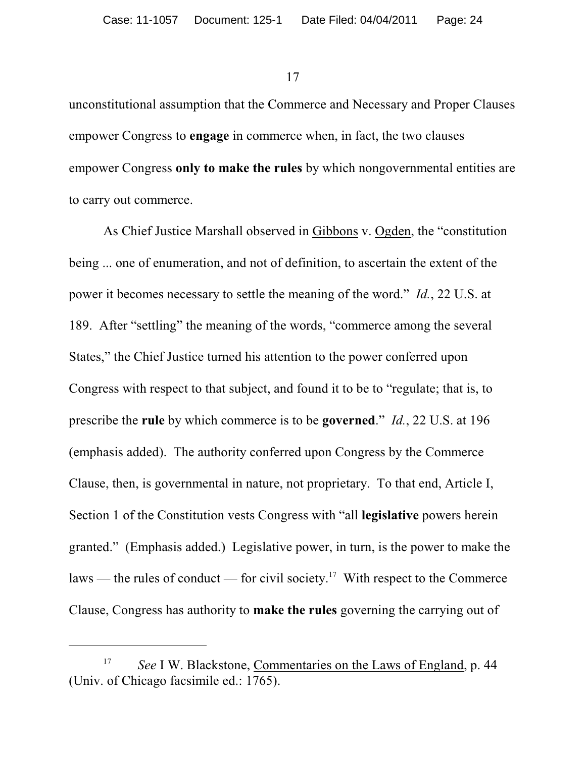unconstitutional assumption that the Commerce and Necessary and Proper Clauses empower Congress to **engage** in commerce when, in fact, the two clauses empower Congress **only to make the rules** by which nongovernmental entities are to carry out commerce.

As Chief Justice Marshall observed in Gibbons v. Ogden, the "constitution being ... one of enumeration, and not of definition, to ascertain the extent of the power it becomes necessary to settle the meaning of the word." *Id.*, 22 U.S. at 189. After "settling" the meaning of the words, "commerce among the several States," the Chief Justice turned his attention to the power conferred upon Congress with respect to that subject, and found it to be to "regulate; that is, to prescribe the **rule** by which commerce is to be **governed**." *Id.*, 22 U.S. at 196 (emphasis added). The authority conferred upon Congress by the Commerce Clause, then, is governmental in nature, not proprietary. To that end, Article I, Section 1 of the Constitution vests Congress with "all **legislative** powers herein granted." (Emphasis added.) Legislative power, in turn, is the power to make the laws — the rules of conduct — for civil society.<sup>17</sup> With respect to the Commerce Clause, Congress has authority to **make the rules** governing the carrying out of

<sup>&</sup>lt;sup>17</sup> *See I W. Blackstone, Commentaries on the Laws of England, p. 44* (Univ. of Chicago facsimile ed.: 1765).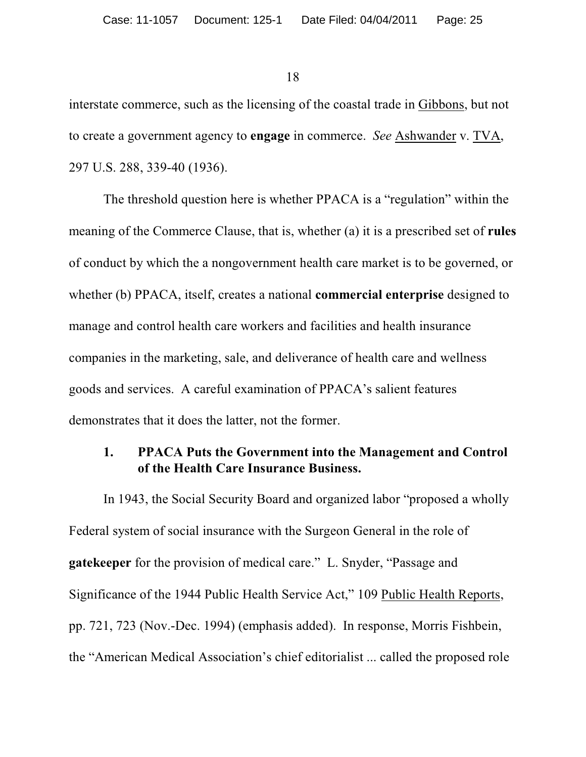interstate commerce, such as the licensing of the coastal trade in Gibbons, but not to create a government agency to **engage** in commerce. *See* Ashwander v. TVA, 297 U.S. 288, 339-40 (1936).

The threshold question here is whether PPACA is a "regulation" within the meaning of the Commerce Clause, that is, whether (a) it is a prescribed set of **rules** of conduct by which the a nongovernment health care market is to be governed, or whether (b) PPACA, itself, creates a national **commercial enterprise** designed to manage and control health care workers and facilities and health insurance companies in the marketing, sale, and deliverance of health care and wellness goods and services. A careful examination of PPACA's salient features demonstrates that it does the latter, not the former.

#### **1. PPACA Puts the Government into the Management and Control of the Health Care Insurance Business.**

In 1943, the Social Security Board and organized labor "proposed a wholly Federal system of social insurance with the Surgeon General in the role of **gatekeeper** for the provision of medical care." L. Snyder, "Passage and Significance of the 1944 Public Health Service Act," 109 Public Health Reports, pp. 721, 723 (Nov.-Dec. 1994) (emphasis added). In response, Morris Fishbein, the "American Medical Association's chief editorialist ... called the proposed role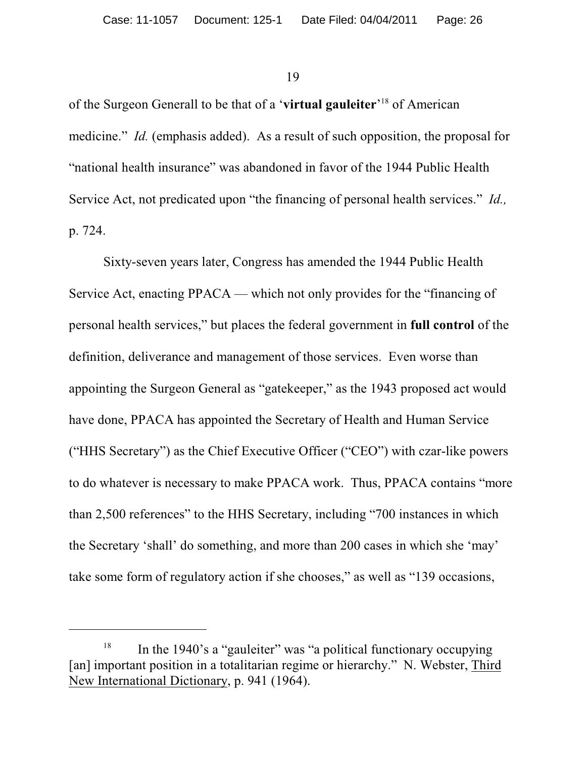of the Surgeon Generall to be that of a 'virtual gauleiter'<sup>18</sup> of American medicine." *Id.* (emphasis added). As a result of such opposition, the proposal for "national health insurance" was abandoned in favor of the 1944 Public Health Service Act, not predicated upon "the financing of personal health services." *Id.,* p. 724.

Sixty-seven years later, Congress has amended the 1944 Public Health Service Act, enacting PPACA — which not only provides for the "financing of personal health services," but places the federal government in **full control** of the definition, deliverance and management of those services. Even worse than appointing the Surgeon General as "gatekeeper," as the 1943 proposed act would have done, PPACA has appointed the Secretary of Health and Human Service ("HHS Secretary") as the Chief Executive Officer ("CEO") with czar-like powers to do whatever is necessary to make PPACA work. Thus, PPACA contains "more than 2,500 references" to the HHS Secretary, including "700 instances in which the Secretary 'shall' do something, and more than 200 cases in which she 'may' take some form of regulatory action if she chooses," as well as "139 occasions,

 $18$  In the 1940's a "gauleiter" was "a political functionary occupying [an] important position in a totalitarian regime or hierarchy." N. Webster, Third New International Dictionary, p. 941 (1964).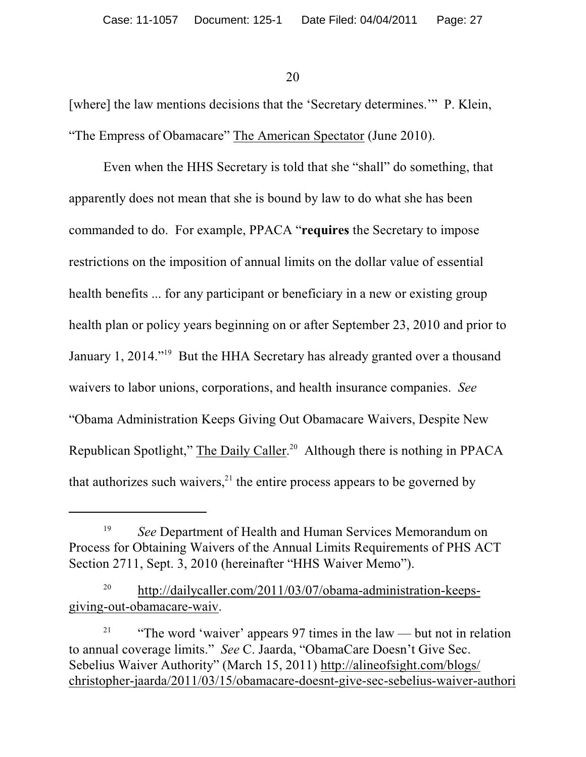[where] the law mentions decisions that the 'Secretary determines.'" P. Klein, "The Empress of Obamacare" The American Spectator (June 2010).

Even when the HHS Secretary is told that she "shall" do something, that apparently does not mean that she is bound by law to do what she has been commanded to do. For example, PPACA "**requires** the Secretary to impose restrictions on the imposition of annual limits on the dollar value of essential health benefits ... for any participant or beneficiary in a new or existing group health plan or policy years beginning on or after September 23, 2010 and prior to January 1, 2014."<sup>19</sup> But the HHA Secretary has already granted over a thousand waivers to labor unions, corporations, and health insurance companies. *See* "Obama Administration Keeps Giving Out Obamacare Waivers, Despite New Republican Spotlight," The Daily Caller.<sup>20</sup> Although there is nothing in PPACA that authorizes such waivers, $^{21}$  the entire process appears to be governed by

<sup>&</sup>lt;sup>19</sup> See Department of Health and Human Services Memorandum on Process for Obtaining Waivers of the Annual Limits Requirements of PHS ACT Section 2711, Sept. 3, 2010 (hereinafter "HHS Waiver Memo").

<sup>&</sup>lt;sup>20</sup> http://dailycaller.com/2011/03/07/obama-administration-keepsgiving-out-obamacare-waiv.

<sup>&</sup>lt;sup>21</sup> "The word 'waiver' appears 97 times in the law — but not in relation to annual coverage limits." *See* C. Jaarda, "ObamaCare Doesn't Give Sec. Sebelius Waiver Authority" (March 15, 2011) http://alineofsight.com/blogs/ christopher-jaarda/2011/03/15/obamacare-doesnt-give-sec-sebelius-waiver-authori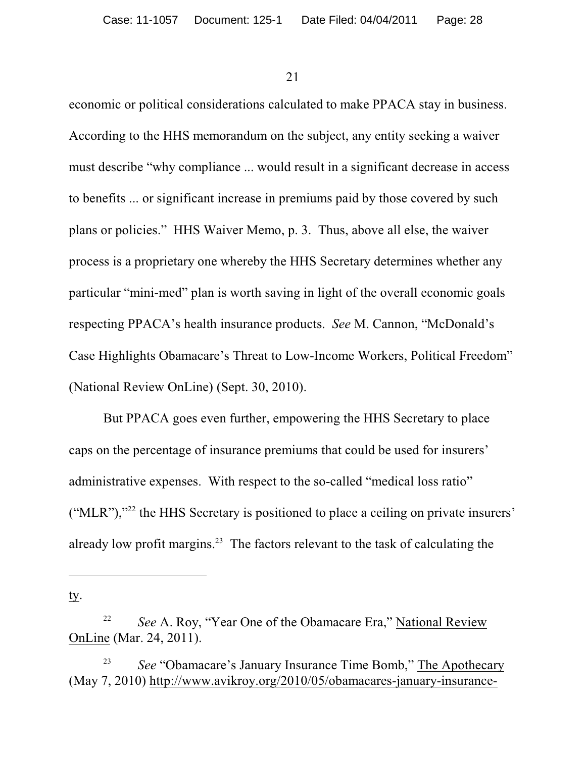economic or political considerations calculated to make PPACA stay in business. According to the HHS memorandum on the subject, any entity seeking a waiver must describe "why compliance ... would result in a significant decrease in access to benefits ... or significant increase in premiums paid by those covered by such plans or policies." HHS Waiver Memo, p. 3. Thus, above all else, the waiver process is a proprietary one whereby the HHS Secretary determines whether any particular "mini-med" plan is worth saving in light of the overall economic goals respecting PPACA's health insurance products. *See* M. Cannon, "McDonald's Case Highlights Obamacare's Threat to Low-Income Workers, Political Freedom" (National Review OnLine) (Sept. 30, 2010).

But PPACA goes even further, empowering the HHS Secretary to place caps on the percentage of insurance premiums that could be used for insurers' administrative expenses. With respect to the so-called "medical loss ratio"  $("MLR")$ ,"<sup>22</sup> the HHS Secretary is positioned to place a ceiling on private insurers' already low profit margins. $23$  The factors relevant to the task of calculating the

ty.

<sup>&</sup>lt;sup>22</sup> *See A. Roy, "Year One of the Obamacare Era," National Review* OnLine (Mar. 24, 2011).

<sup>&</sup>lt;sup>23</sup> *See* "Obamacare's January Insurance Time Bomb," The Apothecary (May 7, 2010) http://www.avikroy.org/2010/05/obamacares-january-insurance-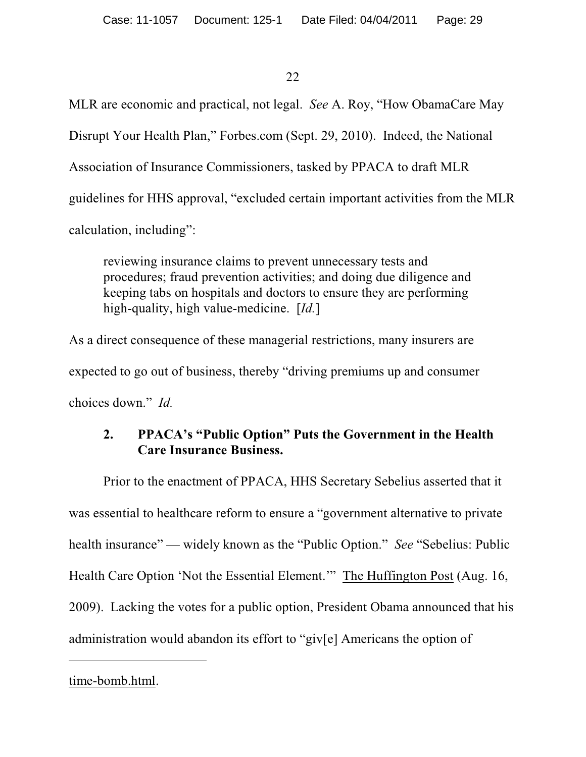MLR are economic and practical, not legal. *See* A. Roy, "How ObamaCare May Disrupt Your Health Plan," Forbes.com (Sept. 29, 2010). Indeed, the National Association of Insurance Commissioners, tasked by PPACA to draft MLR guidelines for HHS approval, "excluded certain important activities from the MLR calculation, including":

reviewing insurance claims to prevent unnecessary tests and procedures; fraud prevention activities; and doing due diligence and keeping tabs on hospitals and doctors to ensure they are performing high-quality, high value-medicine. [*Id.*]

As a direct consequence of these managerial restrictions, many insurers are expected to go out of business, thereby "driving premiums up and consumer choices down." *Id.*

# **2. PPACA's "Public Option" Puts the Government in the Health Care Insurance Business.**

Prior to the enactment of PPACA, HHS Secretary Sebelius asserted that it was essential to healthcare reform to ensure a "government alternative to private health insurance" — widely known as the "Public Option." *See* "Sebelius: Public Health Care Option 'Not the Essential Element.'" The Huffington Post (Aug. 16, 2009). Lacking the votes for a public option, President Obama announced that his administration would abandon its effort to "giv[e] Americans the option of

# time-bomb.html.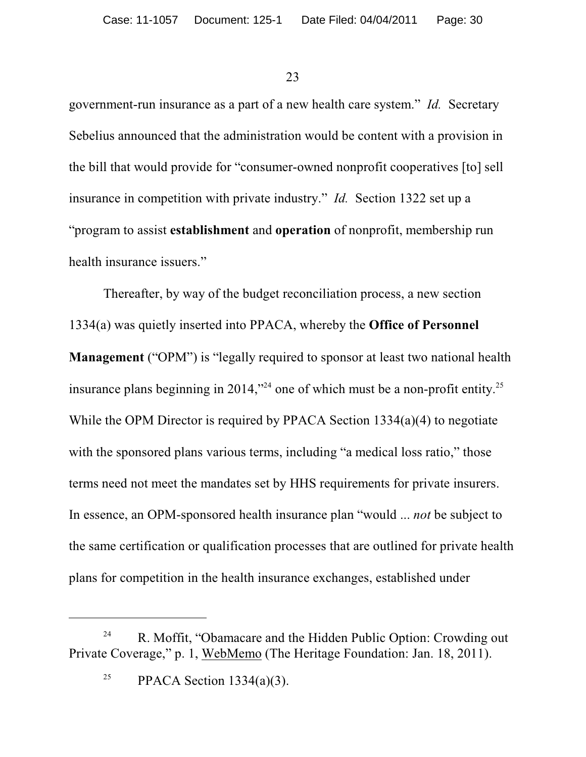government-run insurance as a part of a new health care system." *Id.* Secretary Sebelius announced that the administration would be content with a provision in the bill that would provide for "consumer-owned nonprofit cooperatives [to] sell insurance in competition with private industry." *Id.* Section 1322 set up a "program to assist **establishment** and **operation** of nonprofit, membership run health insurance issuers."

Thereafter, by way of the budget reconciliation process, a new section 1334(a) was quietly inserted into PPACA, whereby the **Office of Personnel Management** ("OPM") is "legally required to sponsor at least two national health insurance plans beginning in 2014,<sup> $324$ </sup> one of which must be a non-profit entity.<sup>25</sup> While the OPM Director is required by PPACA Section 1334(a)(4) to negotiate with the sponsored plans various terms, including "a medical loss ratio," those terms need not meet the mandates set by HHS requirements for private insurers. In essence, an OPM-sponsored health insurance plan "would ... *not* be subject to the same certification or qualification processes that are outlined for private health plans for competition in the health insurance exchanges, established under

R. Moffit, "Obamacare and the Hidden Public Option: Crowding out 24 Private Coverage," p. 1, WebMemo (The Heritage Foundation: Jan. 18, 2011).

<sup>&</sup>lt;sup>25</sup> PPACA Section 1334(a)(3).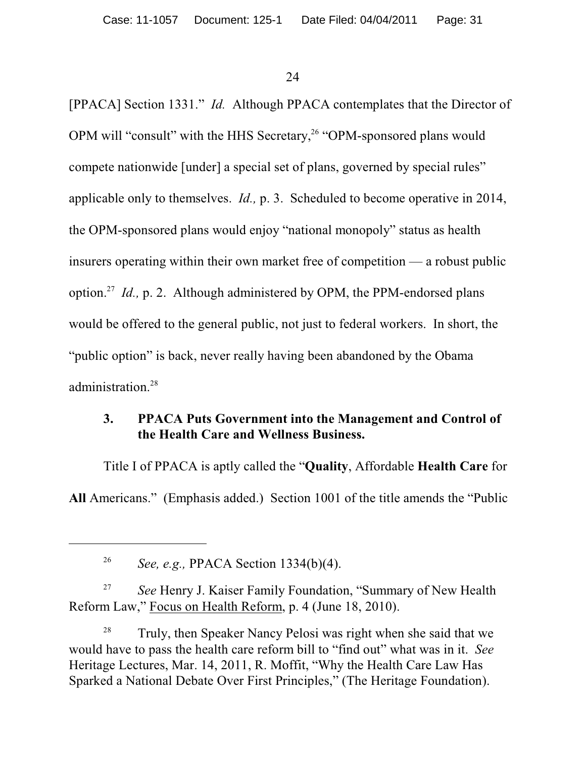[PPACA] Section 1331." *Id.* Although PPACA contemplates that the Director of OPM will "consult" with the HHS Secretary,<sup>26</sup> "OPM-sponsored plans would compete nationwide [under] a special set of plans, governed by special rules" applicable only to themselves. *Id.,* p. 3. Scheduled to become operative in 2014, the OPM-sponsored plans would enjoy "national monopoly" status as health insurers operating within their own market free of competition — a robust public option.<sup>27</sup> Id., p. 2. Although administered by OPM, the PPM-endorsed plans would be offered to the general public, not just to federal workers. In short, the "public option" is back, never really having been abandoned by the Obama administration.<sup>28</sup>

### **3. PPACA Puts Government into the Management and Control of the Health Care and Wellness Business.**

Title I of PPACA is aptly called the "**Quality**, Affordable **Health Care** for **All** Americans." (Emphasis added.) Section 1001 of the title amends the "Public

<sup>27</sup> See Henry J. Kaiser Family Foundation, "Summary of New Health Reform Law," Focus on Health Reform, p. 4 (June 18, 2010).

 $28$  Truly, then Speaker Nancy Pelosi was right when she said that we would have to pass the health care reform bill to "find out" what was in it. *See* Heritage Lectures, Mar. 14, 2011, R. Moffit, "Why the Health Care Law Has Sparked a National Debate Over First Principles," (The Heritage Foundation).

<sup>&</sup>lt;sup>26</sup> *See, e.g., PPACA Section 1334(b)(4).*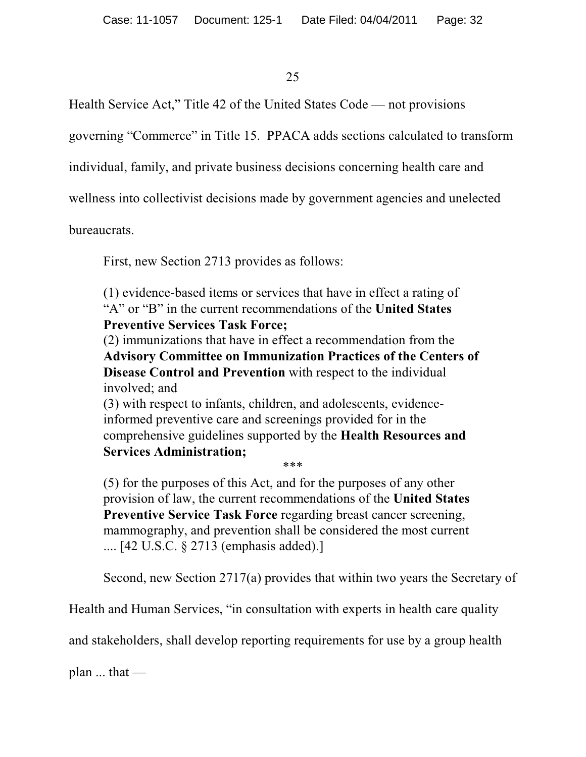Health Service Act," Title 42 of the United States Code — not provisions

governing "Commerce" in Title 15. PPACA adds sections calculated to transform

individual, family, and private business decisions concerning health care and

wellness into collectivist decisions made by government agencies and unelected

bureaucrats.

First, new Section 2713 provides as follows:

(1) evidence-based items or services that have in effect a rating of "A" or "B" in the current recommendations of the **United States Preventive Services Task Force;**

(2) immunizations that have in effect a recommendation from the **Advisory Committee on Immunization Practices of the Centers of Disease Control and Prevention** with respect to the individual involved; and

(3) with respect to infants, children, and adolescents, evidenceinformed preventive care and screenings provided for in the comprehensive guidelines supported by the **Health Resources and Services Administration;** \*\*\*

(5) for the purposes of this Act, and for the purposes of any other provision of law, the current recommendations of the **United States Preventive Service Task Force** regarding breast cancer screening, mammography, and prevention shall be considered the most current .... [42 U.S.C. § 2713 (emphasis added).]

Second, new Section 2717(a) provides that within two years the Secretary of

Health and Human Services, "in consultation with experts in health care quality

and stakeholders, shall develop reporting requirements for use by a group health

plan  $\ldots$  that —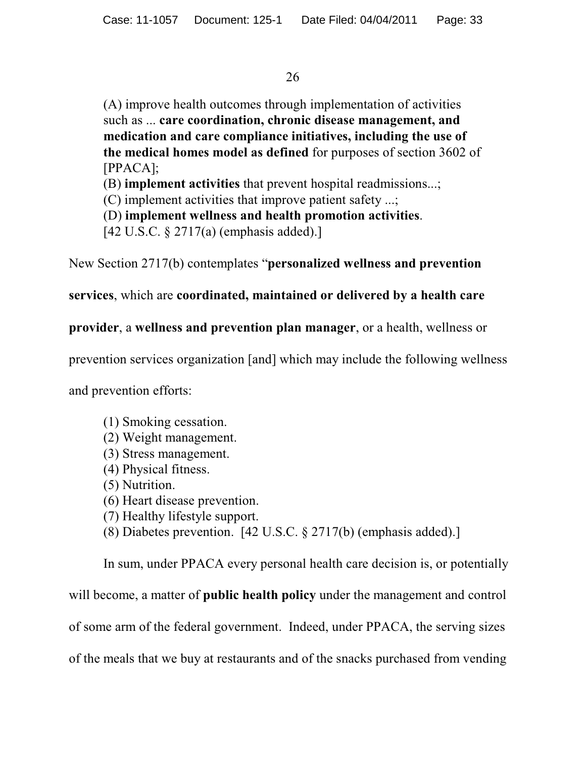(A) improve health outcomes through implementation of activities such as ... **care coordination, chronic disease management, and medication and care compliance initiatives, including the use of the medical homes model as defined** for purposes of section 3602 of [PPACA];

(B) **implement activities** that prevent hospital readmissions...;

(C) implement activities that improve patient safety ...;

(D) **implement wellness and health promotion activities**.

[42 U.S.C. § 2717(a) (emphasis added).]

New Section 2717(b) contemplates "**personalized wellness and prevention**

**services**, which are **coordinated, maintained or delivered by a health care**

**provider**, a **wellness and prevention plan manager**, or a health, wellness or

prevention services organization [and] which may include the following wellness

and prevention efforts:

- (1) Smoking cessation.
- (2) Weight management.
- (3) Stress management.
- (4) Physical fitness.
- (5) Nutrition.
- (6) Heart disease prevention.
- (7) Healthy lifestyle support.
- (8) Diabetes prevention. [42 U.S.C. § 2717(b) (emphasis added).]

In sum, under PPACA every personal health care decision is, or potentially will become, a matter of **public health policy** under the management and control of some arm of the federal government. Indeed, under PPACA, the serving sizes of the meals that we buy at restaurants and of the snacks purchased from vending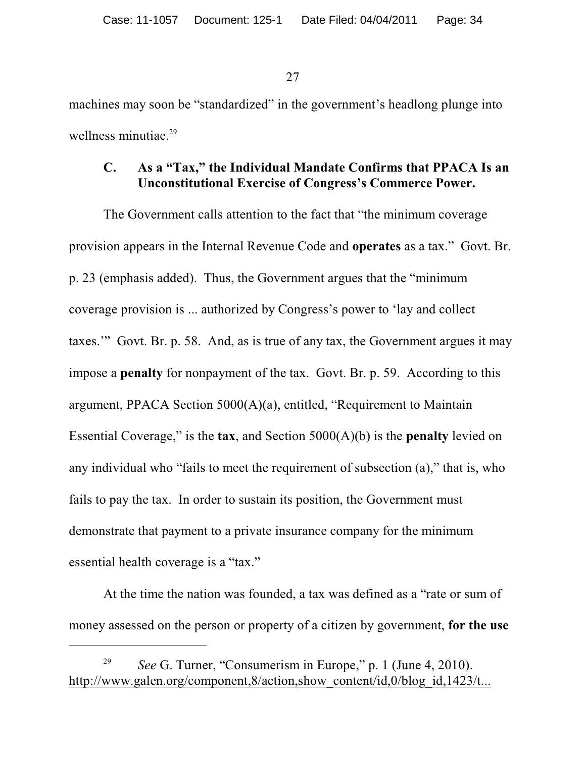machines may soon be "standardized" in the government's headlong plunge into wellness minutiae.<sup>29</sup>

#### **C. As a "Tax," the Individual Mandate Confirms that PPACA Is an Unconstitutional Exercise of Congress's Commerce Power.**

The Government calls attention to the fact that "the minimum coverage provision appears in the Internal Revenue Code and **operates** as a tax." Govt. Br. p. 23 (emphasis added). Thus, the Government argues that the "minimum coverage provision is ... authorized by Congress's power to 'lay and collect taxes.'" Govt. Br. p. 58. And, as is true of any tax, the Government argues it may impose a **penalty** for nonpayment of the tax. Govt. Br. p. 59. According to this argument, PPACA Section 5000(A)(a), entitled, "Requirement to Maintain Essential Coverage," is the **tax**, and Section 5000(A)(b) is the **penalty** levied on any individual who "fails to meet the requirement of subsection (a)," that is, who fails to pay the tax. In order to sustain its position, the Government must demonstrate that payment to a private insurance company for the minimum essential health coverage is a "tax."

At the time the nation was founded, a tax was defined as a "rate or sum of money assessed on the person or property of a citizen by government, **for the use**

*See* G. Turner, "Consumerism in Europe," p. 1 (June 4, 2010). 29 http://www.galen.org/component,8/action,show\_content/id,0/blog\_id,1423/t...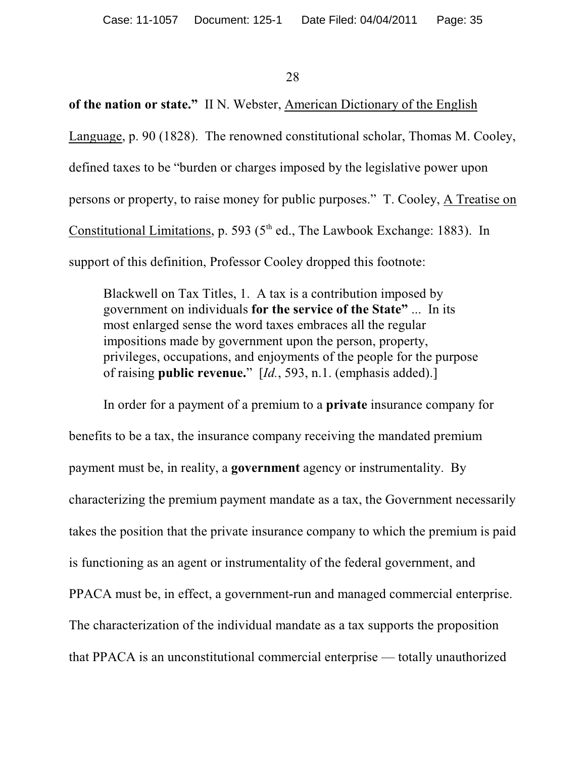### **of the nation or state."** II N. Webster, American Dictionary of the English

Language, p. 90 (1828). The renowned constitutional scholar, Thomas M. Cooley,

defined taxes to be "burden or charges imposed by the legislative power upon

persons or property, to raise money for public purposes." T. Cooley, A Treatise on

Constitutional Limitations, p. 593 ( $5<sup>th</sup>$  ed., The Lawbook Exchange: 1883). In

support of this definition, Professor Cooley dropped this footnote:

Blackwell on Tax Titles, 1. A tax is a contribution imposed by government on individuals **for the service of the State"** ... In its most enlarged sense the word taxes embraces all the regular impositions made by government upon the person, property, privileges, occupations, and enjoyments of the people for the purpose of raising **public revenue.**" [*Id.*, 593, n.1. (emphasis added).]

In order for a payment of a premium to a **private** insurance company for benefits to be a tax, the insurance company receiving the mandated premium payment must be, in reality, a **government** agency or instrumentality. By characterizing the premium payment mandate as a tax, the Government necessarily takes the position that the private insurance company to which the premium is paid is functioning as an agent or instrumentality of the federal government, and PPACA must be, in effect, a government-run and managed commercial enterprise. The characterization of the individual mandate as a tax supports the proposition that PPACA is an unconstitutional commercial enterprise — totally unauthorized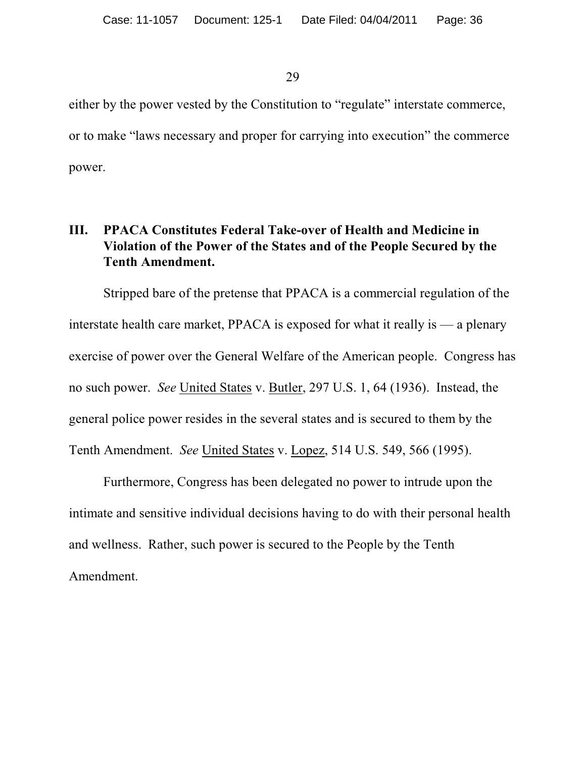either by the power vested by the Constitution to "regulate" interstate commerce, or to make "laws necessary and proper for carrying into execution" the commerce power.

### **III. PPACA Constitutes Federal Take-over of Health and Medicine in Violation of the Power of the States and of the People Secured by the Tenth Amendment.**

Stripped bare of the pretense that PPACA is a commercial regulation of the interstate health care market, PPACA is exposed for what it really is — a plenary exercise of power over the General Welfare of the American people. Congress has no such power. *See* United States v. Butler, 297 U.S. 1, 64 (1936). Instead, the general police power resides in the several states and is secured to them by the Tenth Amendment. *See* United States v. Lopez, 514 U.S. 549, 566 (1995).

Furthermore, Congress has been delegated no power to intrude upon the intimate and sensitive individual decisions having to do with their personal health and wellness. Rather, such power is secured to the People by the Tenth Amendment.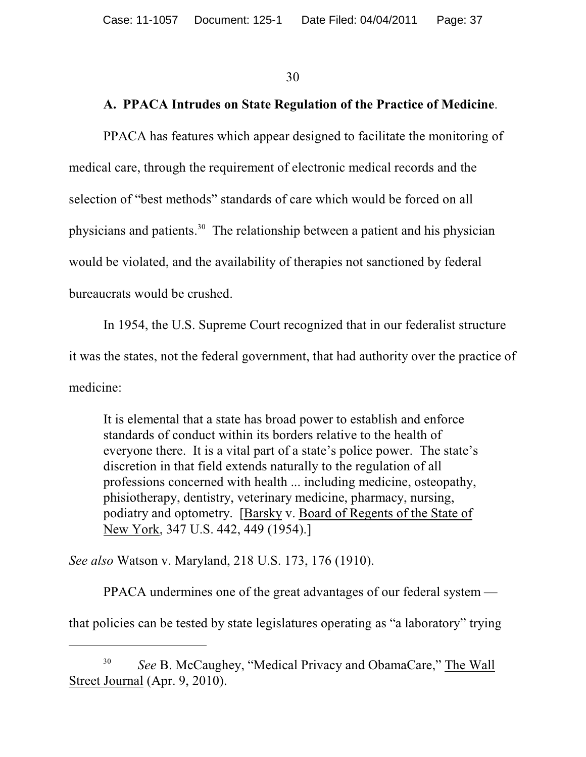#### **A. PPACA Intrudes on State Regulation of the Practice of Medicine**.

PPACA has features which appear designed to facilitate the monitoring of medical care, through the requirement of electronic medical records and the selection of "best methods" standards of care which would be forced on all physicians and patients.<sup>30</sup> The relationship between a patient and his physician would be violated, and the availability of therapies not sanctioned by federal bureaucrats would be crushed.

In 1954, the U.S. Supreme Court recognized that in our federalist structure it was the states, not the federal government, that had authority over the practice of medicine:

It is elemental that a state has broad power to establish and enforce standards of conduct within its borders relative to the health of everyone there. It is a vital part of a state's police power. The state's discretion in that field extends naturally to the regulation of all professions concerned with health ... including medicine, osteopathy, phisiotherapy, dentistry, veterinary medicine, pharmacy, nursing, podiatry and optometry. [Barsky v. Board of Regents of the State of New York, 347 U.S. 442, 449 (1954).]

*See also* Watson v. Maryland, 218 U.S. 173, 176 (1910).

PPACA undermines one of the great advantages of our federal system that policies can be tested by state legislatures operating as "a laboratory" trying

*See* B. McCaughey, "Medical Privacy and ObamaCare," The Wall 30 Street Journal (Apr. 9, 2010).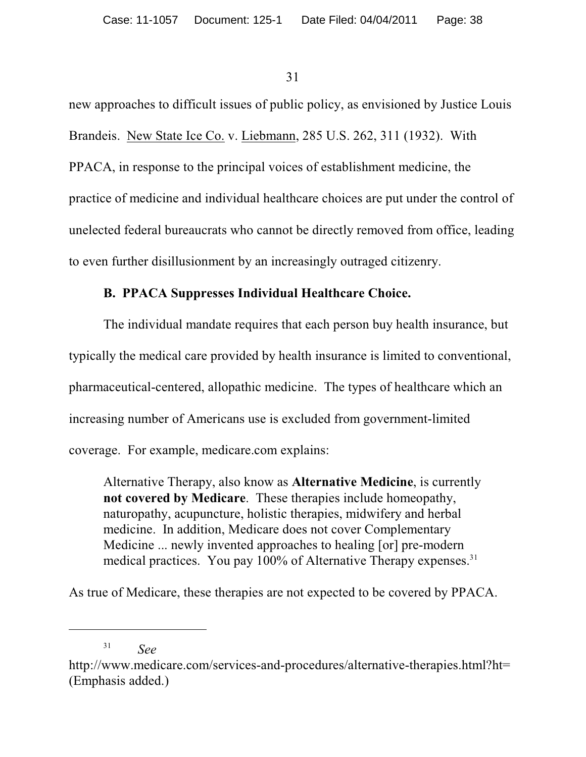new approaches to difficult issues of public policy, as envisioned by Justice Louis Brandeis. New State Ice Co. v. Liebmann, 285 U.S. 262, 311 (1932). With PPACA, in response to the principal voices of establishment medicine, the practice of medicine and individual healthcare choices are put under the control of unelected federal bureaucrats who cannot be directly removed from office, leading to even further disillusionment by an increasingly outraged citizenry.

# **B. PPACA Suppresses Individual Healthcare Choice.**

The individual mandate requires that each person buy health insurance, but typically the medical care provided by health insurance is limited to conventional, pharmaceutical-centered, allopathic medicine. The types of healthcare which an increasing number of Americans use is excluded from government-limited coverage. For example, medicare.com explains:

Alternative Therapy, also know as **Alternative Medicine**, is currently **not covered by Medicare**. These therapies include homeopathy, naturopathy, acupuncture, holistic therapies, midwifery and herbal medicine. In addition, Medicare does not cover Complementary Medicine ... newly invented approaches to healing [or] pre-modern medical practices. You pay 100% of Alternative Therapy expenses.<sup>31</sup>

As true of Medicare, these therapies are not expected to be covered by PPACA.

*See* <sup>31</sup>

http://www.medicare.com/services-and-procedures/alternative-therapies.html?ht= (Emphasis added.)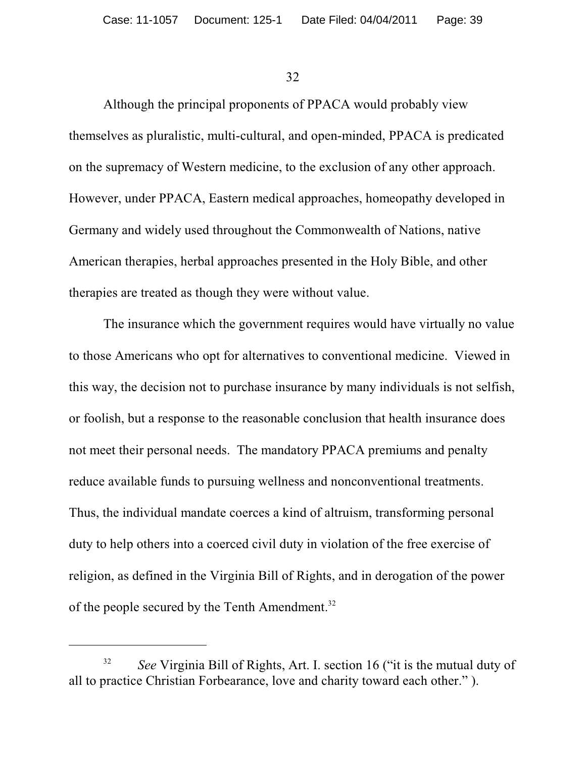Although the principal proponents of PPACA would probably view themselves as pluralistic, multi-cultural, and open-minded, PPACA is predicated on the supremacy of Western medicine, to the exclusion of any other approach. However, under PPACA, Eastern medical approaches, homeopathy developed in Germany and widely used throughout the Commonwealth of Nations, native American therapies, herbal approaches presented in the Holy Bible, and other therapies are treated as though they were without value.

The insurance which the government requires would have virtually no value to those Americans who opt for alternatives to conventional medicine. Viewed in this way, the decision not to purchase insurance by many individuals is not selfish, or foolish, but a response to the reasonable conclusion that health insurance does not meet their personal needs. The mandatory PPACA premiums and penalty reduce available funds to pursuing wellness and nonconventional treatments. Thus, the individual mandate coerces a kind of altruism, transforming personal duty to help others into a coerced civil duty in violation of the free exercise of religion, as defined in the Virginia Bill of Rights, and in derogation of the power of the people secured by the Tenth Amendment.<sup>32</sup>

<sup>&</sup>lt;sup>32</sup> See Virginia Bill of Rights, Art. I. section 16 ("it is the mutual duty of all to practice Christian Forbearance, love and charity toward each other." ).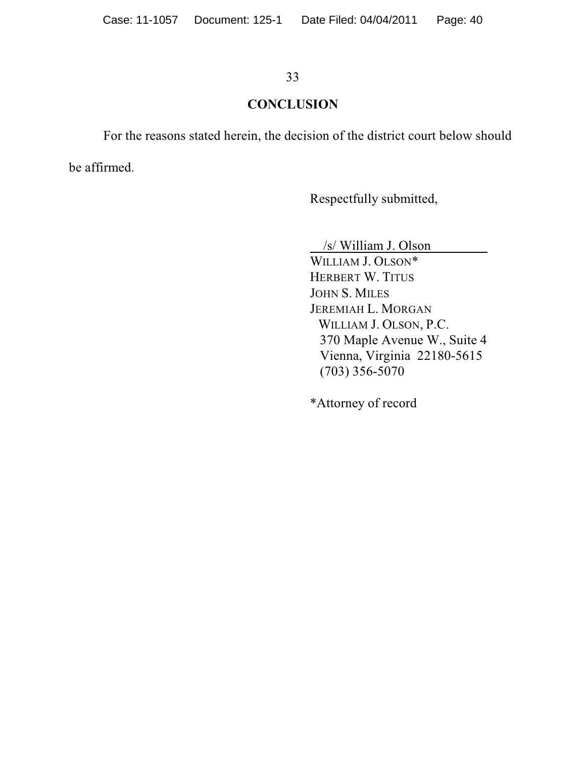#### **CONCLUSION**

For the reasons stated herein, the decision of the district court below should

be affirmed.

Respectfully submitted,

/s/ William J. Olson

WILLIAM J. OLSON\* HERBERT W. TITUS JOHN S. MILES JEREMIAH L. MORGAN WILLIAM J. OLSON, P.C. 370 Maple Avenue W., Suite 4 Vienna, Virginia 22180-5615 (703) 356-5070

\*Attorney of record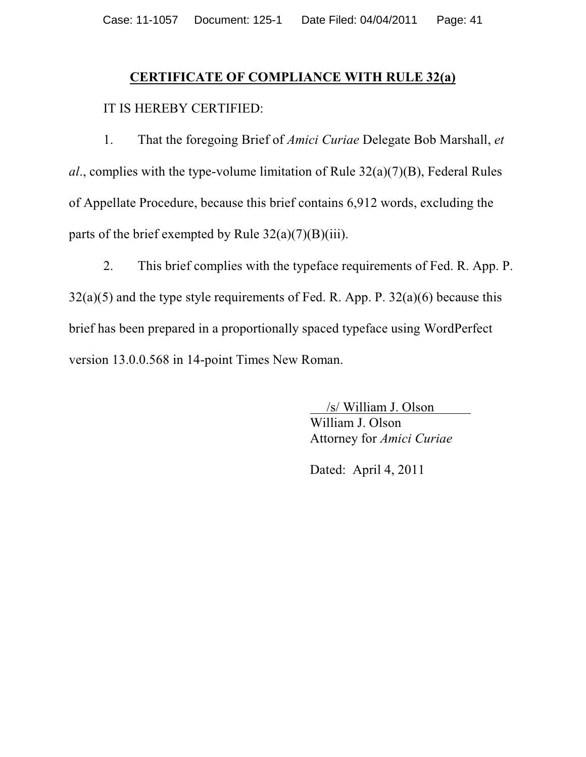#### **CERTIFICATE OF COMPLIANCE WITH RULE 32(a)**

#### IT IS HEREBY CERTIFIED:

1. That the foregoing Brief of *Amici Curiae* Delegate Bob Marshall, *et al*., complies with the type-volume limitation of Rule 32(a)(7)(B), Federal Rules of Appellate Procedure, because this brief contains 6,912 words, excluding the parts of the brief exempted by Rule  $32(a)(7)(B)(iii)$ .

2. This brief complies with the typeface requirements of Fed. R. App. P.  $32(a)(5)$  and the type style requirements of Fed. R. App. P.  $32(a)(6)$  because this brief has been prepared in a proportionally spaced typeface using WordPerfect version 13.0.0.568 in 14-point Times New Roman.

> /s/ William J. Olson William J. Olson

Attorney for *Amici Curiae*

Dated: April 4, 2011